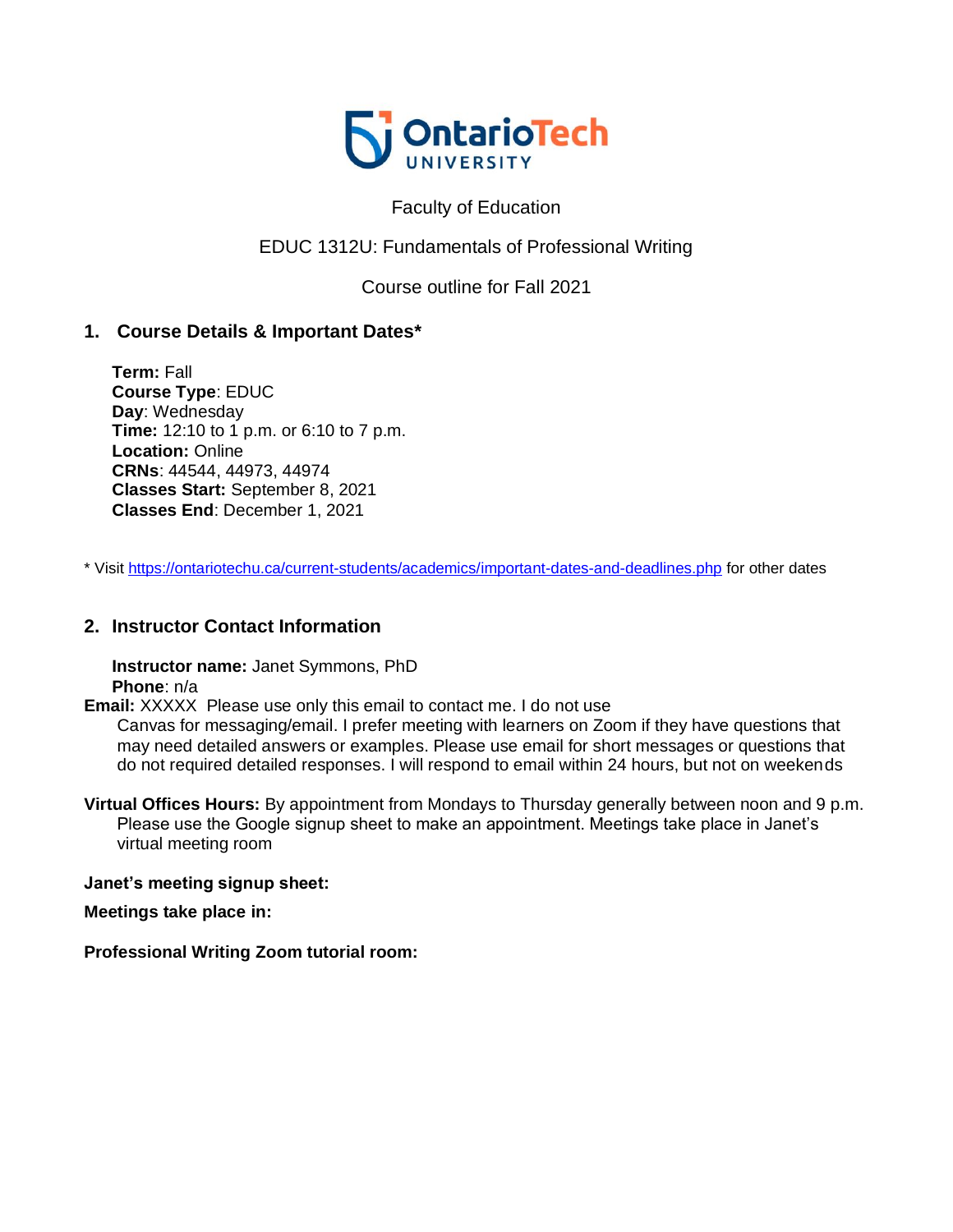

### Faculty of Education

## EDUC 1312U: Fundamentals of Professional Writing

Course outline for Fall 2021

### **1. Course Details & Important Dates\***

**Term:** Fall **Course Type**: EDUC **Day**: Wednesday **Time:** 12:10 to 1 p.m. or 6:10 to 7 p.m. **Location:** Online **CRNs**: 44544, 44973, 44974 **Classes Start:** September 8, 2021 **Classes End**: December 1, 2021

\* Visit <https://ontariotechu.ca/current-students/academics/important-dates-and-deadlines.php> for other dates

### **2. Instructor Contact Information**

**Instructor name:** Janet Symmons, PhD **Phone**: n/a

**Email:** XXXXX Please use only this email to contact me. I do not use

Canvas for messaging/email. I prefer meeting with learners on Zoom if they have questions that may need detailed answers or examples. Please use email for short messages or questions that do not required detailed responses. I will respond to email within 24 hours, but not on weekends

**Virtual Offices Hours:** By appointment from Mondays to Thursday generally between noon and 9 p.m. Please use the Google signup sheet to make an appointment. Meetings take place in Janet's virtual meeting room

#### **Janet's meeting signup sheet:**

**Meetings take place in:**

**Professional Writing Zoom tutorial room:**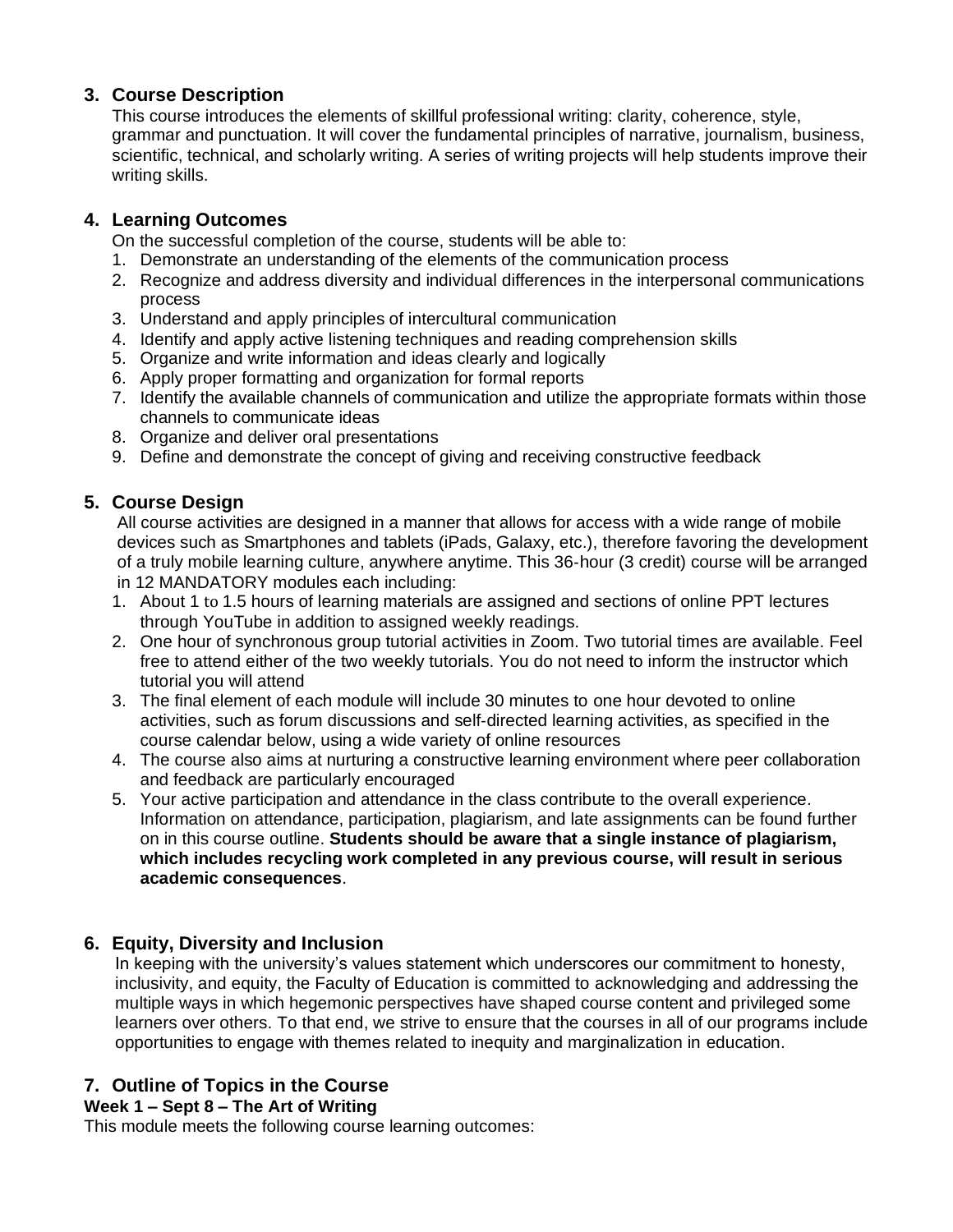## **3. Course Description**

This course introduces the elements of skillful professional writing: clarity, coherence, style, grammar and punctuation. It will cover the fundamental principles of narrative, journalism, business, scientific, technical, and scholarly writing. A series of writing projects will help students improve their writing skills.

### **4. Learning Outcomes**

On the successful completion of the course, students will be able to:

- 1. Demonstrate an understanding of the elements of the communication process
- 2. Recognize and address diversity and individual differences in the interpersonal communications process
- 3. Understand and apply principles of intercultural communication
- 4. Identify and apply active listening techniques and reading comprehension skills
- 5. Organize and write information and ideas clearly and logically
- 6. Apply proper formatting and organization for formal reports
- 7. Identify the available channels of communication and utilize the appropriate formats within those channels to communicate ideas
- 8. Organize and deliver oral presentations
- 9. Define and demonstrate the concept of giving and receiving constructive feedback

## **5. Course Design**

All course activities are designed in a manner that allows for access with a wide range of mobile devices such as Smartphones and tablets (iPads, Galaxy, etc.), therefore favoring the development of a truly mobile learning culture, anywhere anytime. This 36‐hour (3 credit) course will be arranged in 12 MANDATORY modules each including:

- 1. About 1 to 1.5 hours of learning materials are assigned and sections of online PPT lectures through YouTube in addition to assigned weekly readings.
- 2. One hour of synchronous group tutorial activities in Zoom. Two tutorial times are available. Feel free to attend either of the two weekly tutorials. You do not need to inform the instructor which tutorial you will attend
- 3. The final element of each module will include 30 minutes to one hour devoted to online activities, such as forum discussions and self‐directed learning activities, as specified in the course calendar below, using a wide variety of online resources
- 4. The course also aims at nurturing a constructive learning environment where peer collaboration and feedback are particularly encouraged
- 5. Your active participation and attendance in the class contribute to the overall experience. Information on attendance, participation, plagiarism, and late assignments can be found further on in this course outline. **Students should be aware that a single instance of plagiarism, which includes recycling work completed in any previous course, will result in serious academic consequences**.

# **6. Equity, Diversity and Inclusion**

In keeping with the university's values statement which underscores our commitment to honesty, inclusivity, and equity, the Faculty of Education is committed to acknowledging and addressing the multiple ways in which hegemonic perspectives have shaped course content and privileged some learners over others. To that end, we strive to ensure that the courses in all of our programs include opportunities to engage with themes related to inequity and marginalization in education.

# **7. Outline of Topics in the Course**

#### **Week 1 – Sept 8 – The Art of Writing**

This module meets the following course learning outcomes: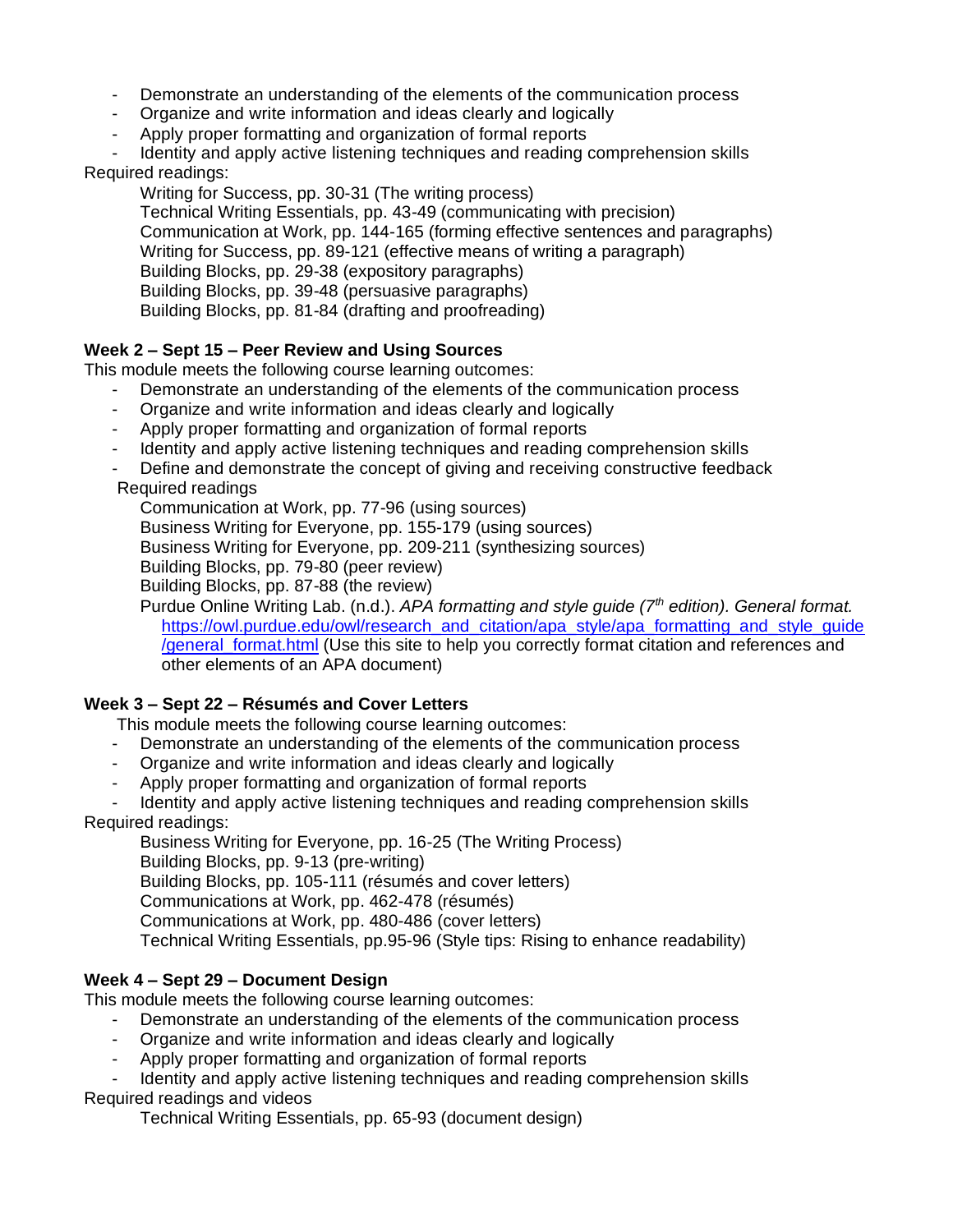- Demonstrate an understanding of the elements of the communication process
- Organize and write information and ideas clearly and logically
- Apply proper formatting and organization of formal reports
- Identity and apply active listening techniques and reading comprehension skills

### Required readings:

Writing for Success, pp. 30-31 (The writing process)

Technical Writing Essentials, pp. 43-49 (communicating with precision) Communication at Work, pp. 144-165 (forming effective sentences and paragraphs) Writing for Success, pp. 89-121 (effective means of writing a paragraph) Building Blocks, pp. 29-38 (expository paragraphs) Building Blocks, pp. 39-48 (persuasive paragraphs) Building Blocks, pp. 81-84 (drafting and proofreading)

### **Week 2 – Sept 15 – Peer Review and Using Sources**

This module meets the following course learning outcomes:

- Demonstrate an understanding of the elements of the communication process
- Organize and write information and ideas clearly and logically
- Apply proper formatting and organization of formal reports
- Identity and apply active listening techniques and reading comprehension skills
- Define and demonstrate the concept of giving and receiving constructive feedback

### Required readings

Communication at Work, pp. 77-96 (using sources) Business Writing for Everyone, pp. 155-179 (using sources) Business Writing for Everyone, pp. 209-211 (synthesizing sources) Building Blocks, pp. 79-80 (peer review)

Building Blocks, pp. 87-88 (the review)

Purdue Online Writing Lab. (n.d.). *APA formatting and style guide (7th edition). General format.* https://owl.purdue.edu/owl/research\_and\_citation/apa\_style/apa\_formatting\_and\_style\_quide [/general\\_format.html](https://owl.purdue.edu/owl/research_and_citation/apa_style/apa_formatting_and_style_guide/general_format.html) (Use this site to help you correctly format citation and references and other elements of an APA document)

### **Week 3 – Sept 22 – Résumés and Cover Letters**

This module meets the following course learning outcomes:

- Demonstrate an understanding of the elements of the communication process
- Organize and write information and ideas clearly and logically
- Apply proper formatting and organization of formal reports

Identity and apply active listening techniques and reading comprehension skills Required readings:

Business Writing for Everyone, pp. 16-25 (The Writing Process) Building Blocks, pp. 9-13 (pre-writing) Building Blocks, pp. 105-111 (résumés and cover letters) Communications at Work, pp. 462-478 (résumés) Communications at Work, pp. 480-486 (cover letters) Technical Writing Essentials, pp.95-96 (Style tips: Rising to enhance readability)

### **Week 4 – Sept 29 – Document Design**

This module meets the following course learning outcomes:

- Demonstrate an understanding of the elements of the communication process
- Organize and write information and ideas clearly and logically
- Apply proper formatting and organization of formal reports

Identity and apply active listening techniques and reading comprehension skills

# Required readings and videos

Technical Writing Essentials, pp. 65-93 (document design)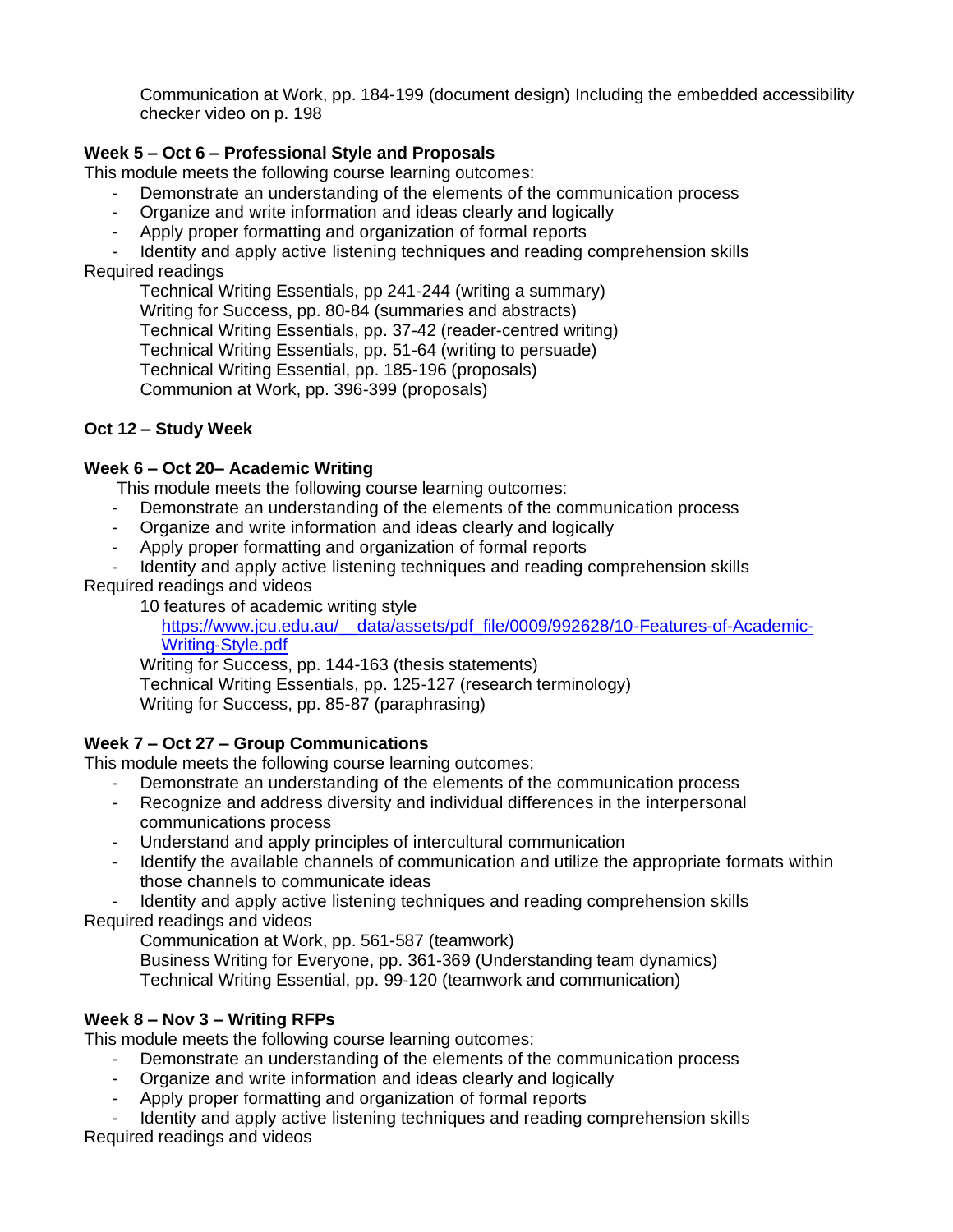Communication at Work, pp. 184-199 (document design) Including the embedded accessibility checker video on p. 198

### **Week 5 – Oct 6 – Professional Style and Proposals**

This module meets the following course learning outcomes:

- Demonstrate an understanding of the elements of the communication process
- Organize and write information and ideas clearly and logically
- Apply proper formatting and organization of formal reports

Identity and apply active listening techniques and reading comprehension skills Required readings

Technical Writing Essentials, pp 241-244 (writing a summary) Writing for Success, pp. 80-84 (summaries and abstracts) Technical Writing Essentials, pp. 37-42 (reader-centred writing) Technical Writing Essentials, pp. 51-64 (writing to persuade) Technical Writing Essential, pp. 185-196 (proposals) Communion at Work, pp. 396-399 (proposals)

### **Oct 12 – Study Week**

#### **Week 6 – Oct 20– Academic Writing**

This module meets the following course learning outcomes:

- Demonstrate an understanding of the elements of the communication process
- Organize and write information and ideas clearly and logically
- Apply proper formatting and organization of formal reports
- Identity and apply active listening techniques and reading comprehension skills

Required readings and videos

10 features of academic writing style

https://www.jcu.edu.au/\_data/assets/pdf\_file/0009/992628/10-Features-of-Academic-[Writing-Style.pdf](https://www.jcu.edu.au/__data/assets/pdf_file/0009/992628/10-Features-of-Academic-Writing-Style.pdf)

Writing for Success, pp. 144-163 (thesis statements) Technical Writing Essentials, pp. 125-127 (research terminology) Writing for Success, pp. 85-87 (paraphrasing)

### **Week 7 – Oct 27 – Group Communications**

This module meets the following course learning outcomes:

- Demonstrate an understanding of the elements of the communication process
- Recognize and address diversity and individual differences in the interpersonal communications process
- Understand and apply principles of intercultural communication
- Identify the available channels of communication and utilize the appropriate formats within those channels to communicate ideas
- Identity and apply active listening techniques and reading comprehension skills Required readings and videos

Communication at Work, pp. 561-587 (teamwork)

Business Writing for Everyone, pp. 361-369 (Understanding team dynamics) Technical Writing Essential, pp. 99-120 (teamwork and communication)

### **Week 8 – Nov 3 – Writing RFPs**

This module meets the following course learning outcomes:

- Demonstrate an understanding of the elements of the communication process
- Organize and write information and ideas clearly and logically
- Apply proper formatting and organization of formal reports

Identity and apply active listening techniques and reading comprehension skills Required readings and videos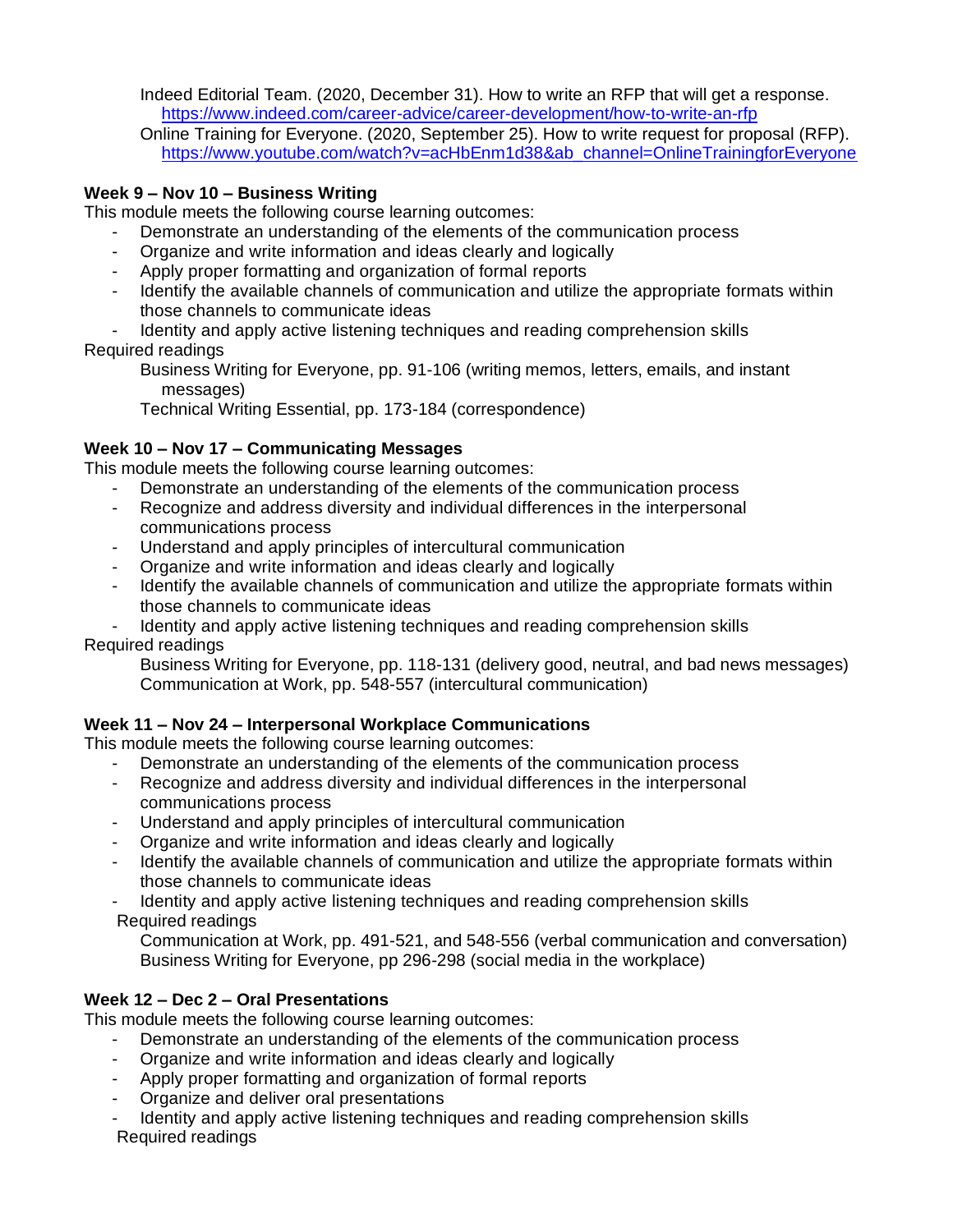Indeed Editorial Team. (2020, December 31). How to write an RFP that will get a response. <https://www.indeed.com/career-advice/career-development/how-to-write-an-rfp>

Online Training for Everyone. (2020, September 25). How to write request for proposal (RFP). [https://www.youtube.com/watch?v=acHbEnm1d38&ab\\_channel=OnlineTrainingforEveryone](https://www.youtube.com/watch?v=acHbEnm1d38&ab_channel=OnlineTrainingforEveryone)

### **Week 9 – Nov 10 – Business Writing**

This module meets the following course learning outcomes:

- Demonstrate an understanding of the elements of the communication process
- Organize and write information and ideas clearly and logically
- Apply proper formatting and organization of formal reports
- Identify the available channels of communication and utilize the appropriate formats within those channels to communicate ideas

Identity and apply active listening techniques and reading comprehension skills

Required readings

Business Writing for Everyone, pp. 91-106 (writing memos, letters, emails, and instant messages)

Technical Writing Essential, pp. 173-184 (correspondence)

### **Week 10 – Nov 17 – Communicating Messages**

This module meets the following course learning outcomes:

- Demonstrate an understanding of the elements of the communication process
- Recognize and address diversity and individual differences in the interpersonal communications process
- Understand and apply principles of intercultural communication
- Organize and write information and ideas clearly and logically
- Identify the available channels of communication and utilize the appropriate formats within those channels to communicate ideas
- Identity and apply active listening techniques and reading comprehension skills

Required readings

Business Writing for Everyone, pp. 118-131 (delivery good, neutral, and bad news messages) Communication at Work, pp. 548-557 (intercultural communication)

### **Week 11 – Nov 24 – Interpersonal Workplace Communications**

This module meets the following course learning outcomes:

- Demonstrate an understanding of the elements of the communication process
- Recognize and address diversity and individual differences in the interpersonal communications process
- Understand and apply principles of intercultural communication
- Organize and write information and ideas clearly and logically
- Identify the available channels of communication and utilize the appropriate formats within those channels to communicate ideas
- Identity and apply active listening techniques and reading comprehension skills Required readings

Communication at Work, pp. 491-521, and 548-556 (verbal communication and conversation) Business Writing for Everyone, pp 296-298 (social media in the workplace)

### **Week 12 – Dec 2 – Oral Presentations**

This module meets the following course learning outcomes:

- Demonstrate an understanding of the elements of the communication process
- Organize and write information and ideas clearly and logically
- Apply proper formatting and organization of formal reports
- Organize and deliver oral presentations
- Identity and apply active listening techniques and reading comprehension skills Required readings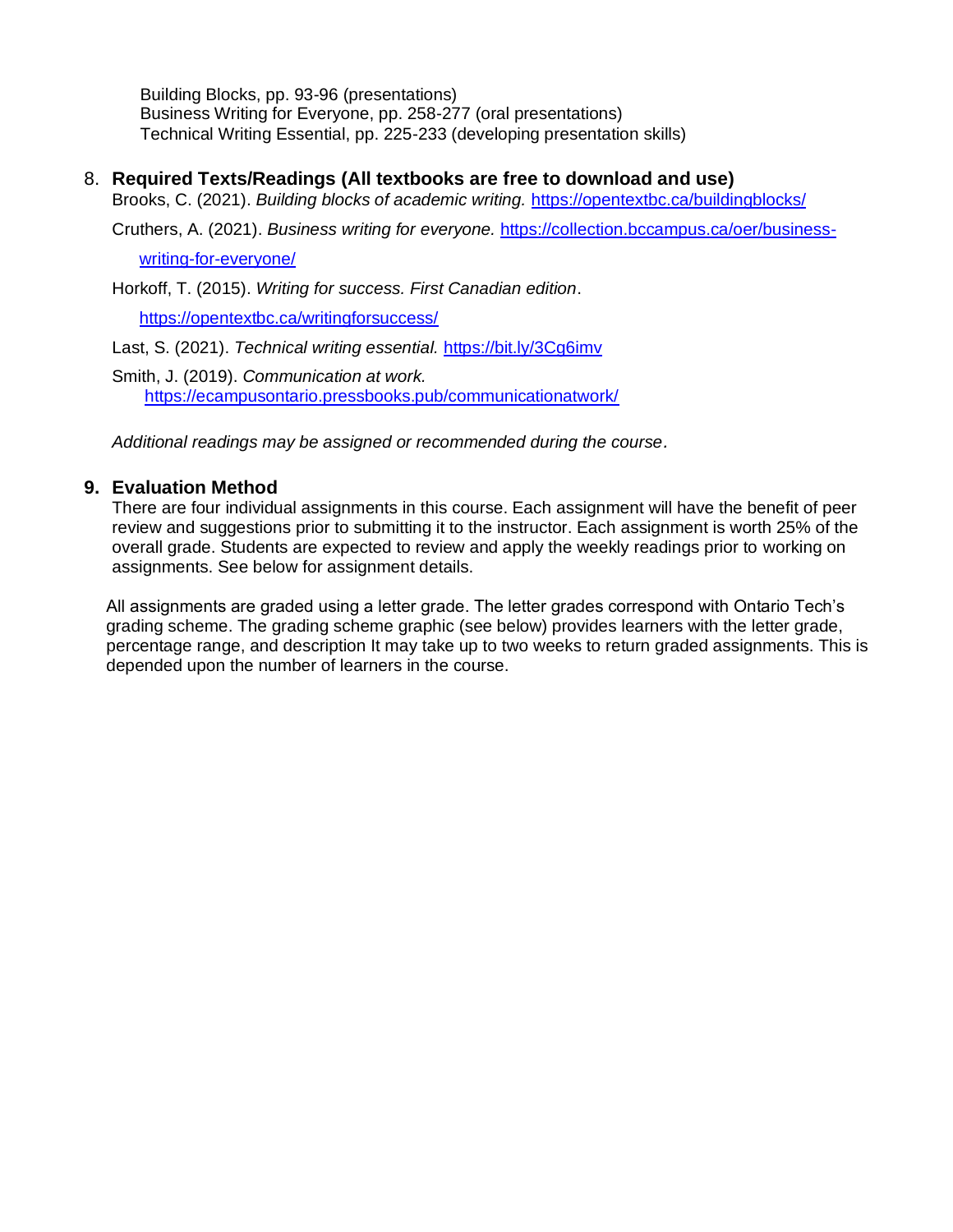Building Blocks, pp. 93-96 (presentations) Business Writing for Everyone, pp. 258-277 (oral presentations) Technical Writing Essential, pp. 225-233 (developing presentation skills)

8. **Required Texts/Readings (All textbooks are free to download and use)**

Brooks, C. (2021). *Building blocks of academic writing.* <https://opentextbc.ca/buildingblocks/>

Cruthers, A. (2021). *Business writing for everyone.* [https://collection.bccampus.ca/oer/business-](https://collection.bccampus.ca/oer/business-writing-for-everyone/)

[writing-for-everyone/](https://collection.bccampus.ca/oer/business-writing-for-everyone/)

Horkoff, T. (2015). *Writing for success. First Canadian edition*.

<https://opentextbc.ca/writingforsuccess/>

Last, S. (2021). *Technical writing essential.* <https://bit.ly/3Cg6imv>

Smith, J. (2019). *Communication at work.* <https://ecampusontario.pressbooks.pub/communicationatwork/>

*Additional readings may be assigned or recommended during the course.*

### **9. Evaluation Method**

There are four individual assignments in this course. Each assignment will have the benefit of peer review and suggestions prior to submitting it to the instructor. Each assignment is worth 25% of the overall grade. Students are expected to review and apply the weekly readings prior to working on assignments. See below for assignment details.

All assignments are graded using a letter grade. The letter grades correspond with Ontario Tech's grading scheme. The grading scheme graphic (see below) provides learners with the letter grade, percentage range, and description It may take up to two weeks to return graded assignments. This is depended upon the number of learners in the course.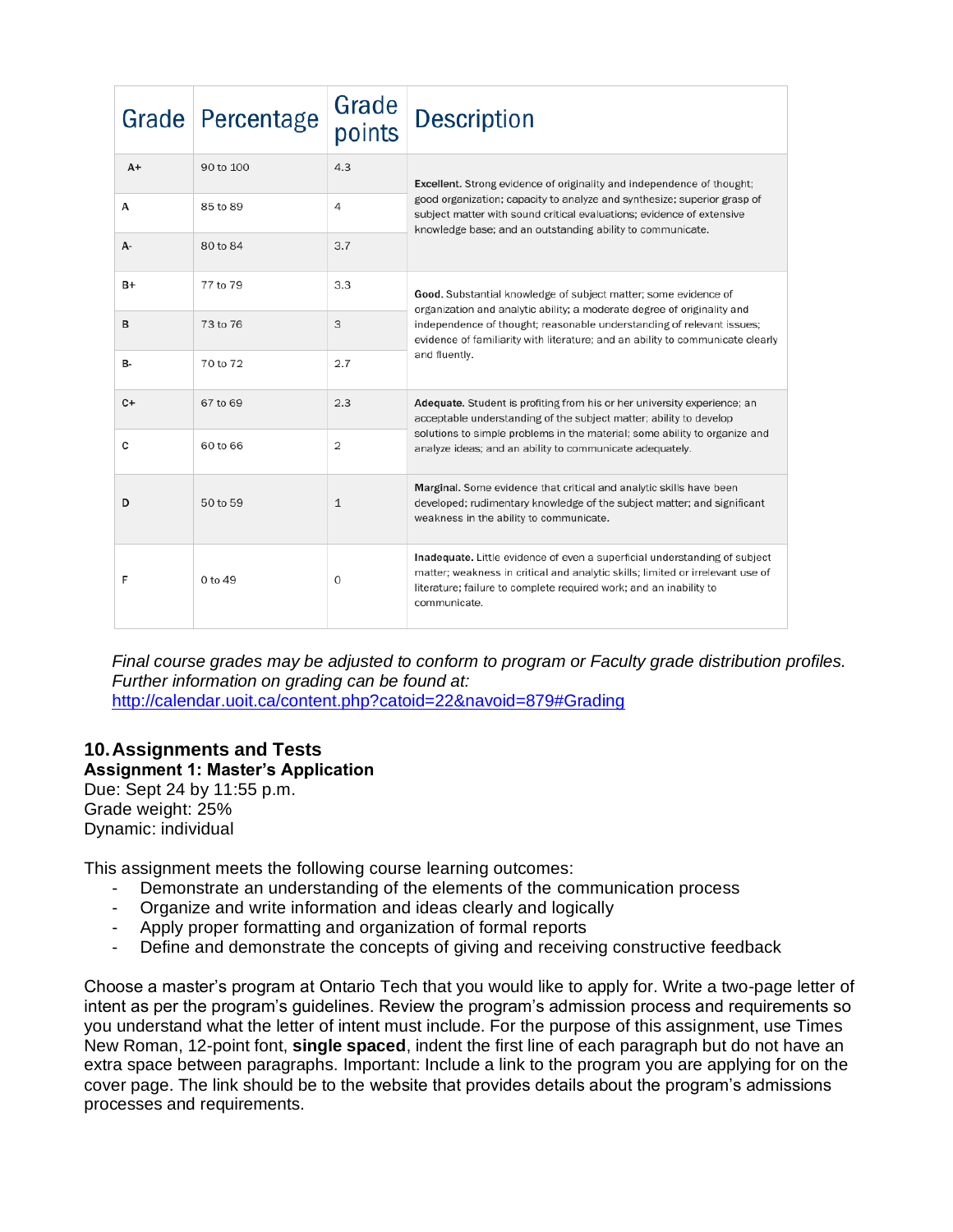|           | Grade Percentage | Grade<br>points | <b>Description</b>                                                                                                                                                                                                                                 |  |
|-----------|------------------|-----------------|----------------------------------------------------------------------------------------------------------------------------------------------------------------------------------------------------------------------------------------------------|--|
| $A+$      | 90 to 100        | 4.3             | Excellent. Strong evidence of originality and independence of thought;                                                                                                                                                                             |  |
| А         | 85 to 89         | 4               | good organization; capacity to analyze and synthesize; superior grasp of<br>subject matter with sound critical evaluations; evidence of extensive<br>knowledge base; and an outstanding ability to communicate.                                    |  |
| А-        | 80 to 84         | 3.7             |                                                                                                                                                                                                                                                    |  |
| B+        | 77 to 79         | 3.3             | Good. Substantial knowledge of subject matter; some evidence of<br>organization and analytic ability; a moderate degree of originality and                                                                                                         |  |
| в         | 73 to 76         | 3               | independence of thought; reasonable understanding of relevant issues;<br>evidence of familiarity with literature; and an ability to communicate clearly                                                                                            |  |
| <b>B-</b> | 70 to 72         | 2.7             | and fluently.                                                                                                                                                                                                                                      |  |
| $C+$      | 67 to 69         | 2.3             | Adequate. Student is profiting from his or her university experience; an<br>acceptable understanding of the subject matter; ability to develop                                                                                                     |  |
| C         | 60 to 66         | 2               | solutions to simple problems in the material; some ability to organize and<br>analyze ideas; and an ability to communicate adequately.                                                                                                             |  |
| D         | 50 to 59         | $\mathbf{1}$    | Marginal. Some evidence that critical and analytic skills have been<br>developed; rudimentary knowledge of the subject matter; and significant<br>weakness in the ability to communicate.                                                          |  |
| F         | $0$ to $49$      | 0               | Inadequate. Little evidence of even a superficial understanding of subject<br>matter; weakness in critical and analytic skills; limited or irrelevant use of<br>literature; failure to complete required work; and an inability to<br>communicate. |  |

*Final course grades may be adjusted to conform to program or Faculty grade distribution profiles. Further information on grading can be found at:*  <http://calendar.uoit.ca/content.php?catoid=22&navoid=879#Grading>

# **10.Assignments and Tests Assignment 1: Master's Application**

Due: Sept 24 by 11:55 p.m. Grade weight: 25% Dynamic: individual

This assignment meets the following course learning outcomes:

- Demonstrate an understanding of the elements of the communication process
- Organize and write information and ideas clearly and logically
- Apply proper formatting and organization of formal reports
- Define and demonstrate the concepts of giving and receiving constructive feedback

Choose a master's program at Ontario Tech that you would like to apply for. Write a two-page letter of intent as per the program's guidelines. Review the program's admission process and requirements so you understand what the letter of intent must include. For the purpose of this assignment, use Times New Roman, 12-point font, **single spaced**, indent the first line of each paragraph but do not have an extra space between paragraphs. Important: Include a link to the program you are applying for on the cover page. The link should be to the website that provides details about the program's admissions processes and requirements.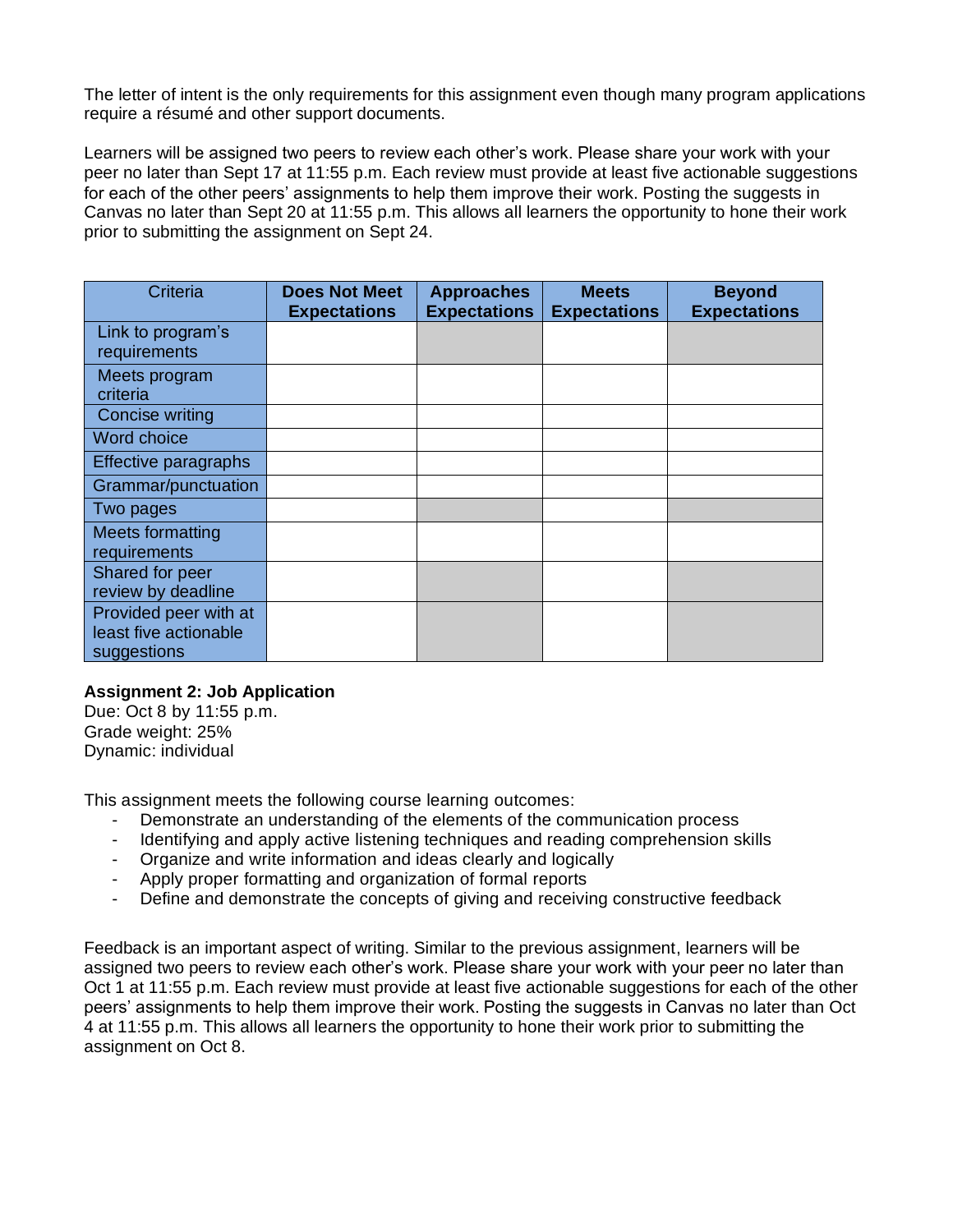The letter of intent is the only requirements for this assignment even though many program applications require a résumé and other support documents.

Learners will be assigned two peers to review each other's work. Please share your work with your peer no later than Sept 17 at 11:55 p.m. Each review must provide at least five actionable suggestions for each of the other peers' assignments to help them improve their work. Posting the suggests in Canvas no later than Sept 20 at 11:55 p.m. This allows all learners the opportunity to hone their work prior to submitting the assignment on Sept 24.

| Criteria                                       | <b>Does Not Meet</b><br><b>Expectations</b> | <b>Approaches</b><br><b>Expectations</b> | <b>Meets</b><br><b>Expectations</b> | <b>Beyond</b><br><b>Expectations</b> |
|------------------------------------------------|---------------------------------------------|------------------------------------------|-------------------------------------|--------------------------------------|
| Link to program's<br>requirements              |                                             |                                          |                                     |                                      |
| Meets program<br>criteria                      |                                             |                                          |                                     |                                      |
| Concise writing                                |                                             |                                          |                                     |                                      |
| Word choice                                    |                                             |                                          |                                     |                                      |
| Effective paragraphs                           |                                             |                                          |                                     |                                      |
| Grammar/punctuation                            |                                             |                                          |                                     |                                      |
| Two pages                                      |                                             |                                          |                                     |                                      |
| <b>Meets formatting</b><br>requirements        |                                             |                                          |                                     |                                      |
| Shared for peer<br>review by deadline          |                                             |                                          |                                     |                                      |
| Provided peer with at<br>least five actionable |                                             |                                          |                                     |                                      |
| suggestions                                    |                                             |                                          |                                     |                                      |

#### **Assignment 2: Job Application**

Due: Oct 8 by 11:55 p.m. Grade weight: 25% Dynamic: individual

This assignment meets the following course learning outcomes:

- Demonstrate an understanding of the elements of the communication process
- Identifying and apply active listening techniques and reading comprehension skills
- Organize and write information and ideas clearly and logically
- Apply proper formatting and organization of formal reports
- Define and demonstrate the concepts of giving and receiving constructive feedback

Feedback is an important aspect of writing. Similar to the previous assignment, learners will be assigned two peers to review each other's work. Please share your work with your peer no later than Oct 1 at 11:55 p.m. Each review must provide at least five actionable suggestions for each of the other peers' assignments to help them improve their work. Posting the suggests in Canvas no later than Oct 4 at 11:55 p.m. This allows all learners the opportunity to hone their work prior to submitting the assignment on Oct 8.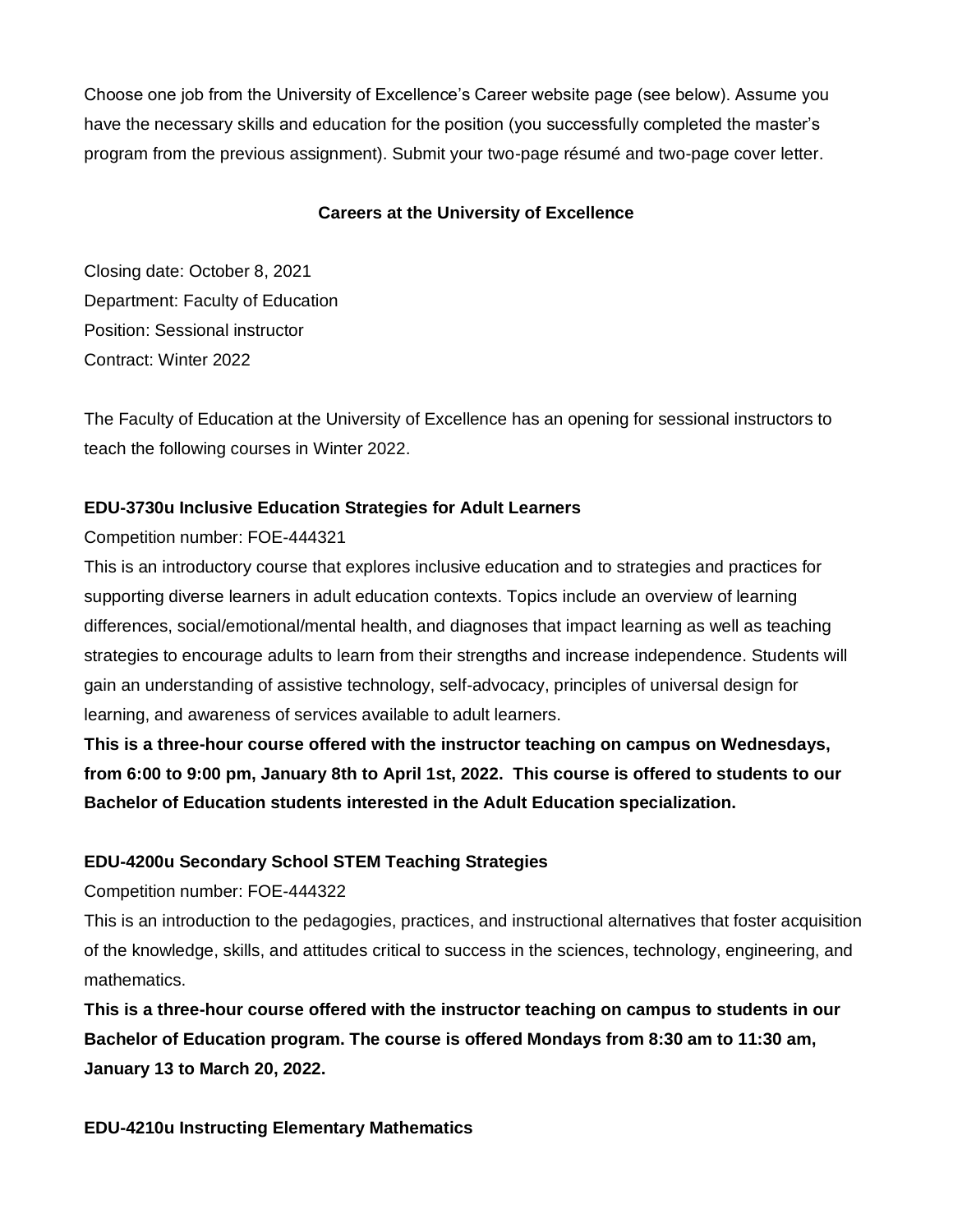Choose one job from the University of Excellence's Career website page (see below). Assume you have the necessary skills and education for the position (you successfully completed the master's program from the previous assignment). Submit your two-page résumé and two-page cover letter.

### **Careers at the University of Excellence**

Closing date: October 8, 2021 Department: Faculty of Education Position: Sessional instructor Contract: Winter 2022

The Faculty of Education at the University of Excellence has an opening for sessional instructors to teach the following courses in Winter 2022.

### **EDU-3730u Inclusive Education Strategies for Adult Learners**

Competition number: FOE-444321

This is an introductory course that explores inclusive education and to strategies and practices for supporting diverse learners in adult education contexts. Topics include an overview of learning differences, social/emotional/mental health, and diagnoses that impact learning as well as teaching strategies to encourage adults to learn from their strengths and increase independence. Students will gain an understanding of assistive technology, self-advocacy, principles of universal design for learning, and awareness of services available to adult learners.

**This is a three-hour course offered with the instructor teaching on campus on Wednesdays, from 6:00 to 9:00 pm, January 8th to April 1st, 2022. This course is offered to students to our Bachelor of Education students interested in the Adult Education specialization.**

### **EDU-4200u Secondary School STEM Teaching Strategies**

Competition number: FOE-444322

This is an introduction to the pedagogies, practices, and instructional alternatives that foster acquisition of the knowledge, skills, and attitudes critical to success in the sciences, technology, engineering, and mathematics.

**This is a three-hour course offered with the instructor teaching on campus to students in our Bachelor of Education program. The course is offered Mondays from 8:30 am to 11:30 am, January 13 to March 20, 2022.**

#### **EDU-4210u Instructing Elementary Mathematics**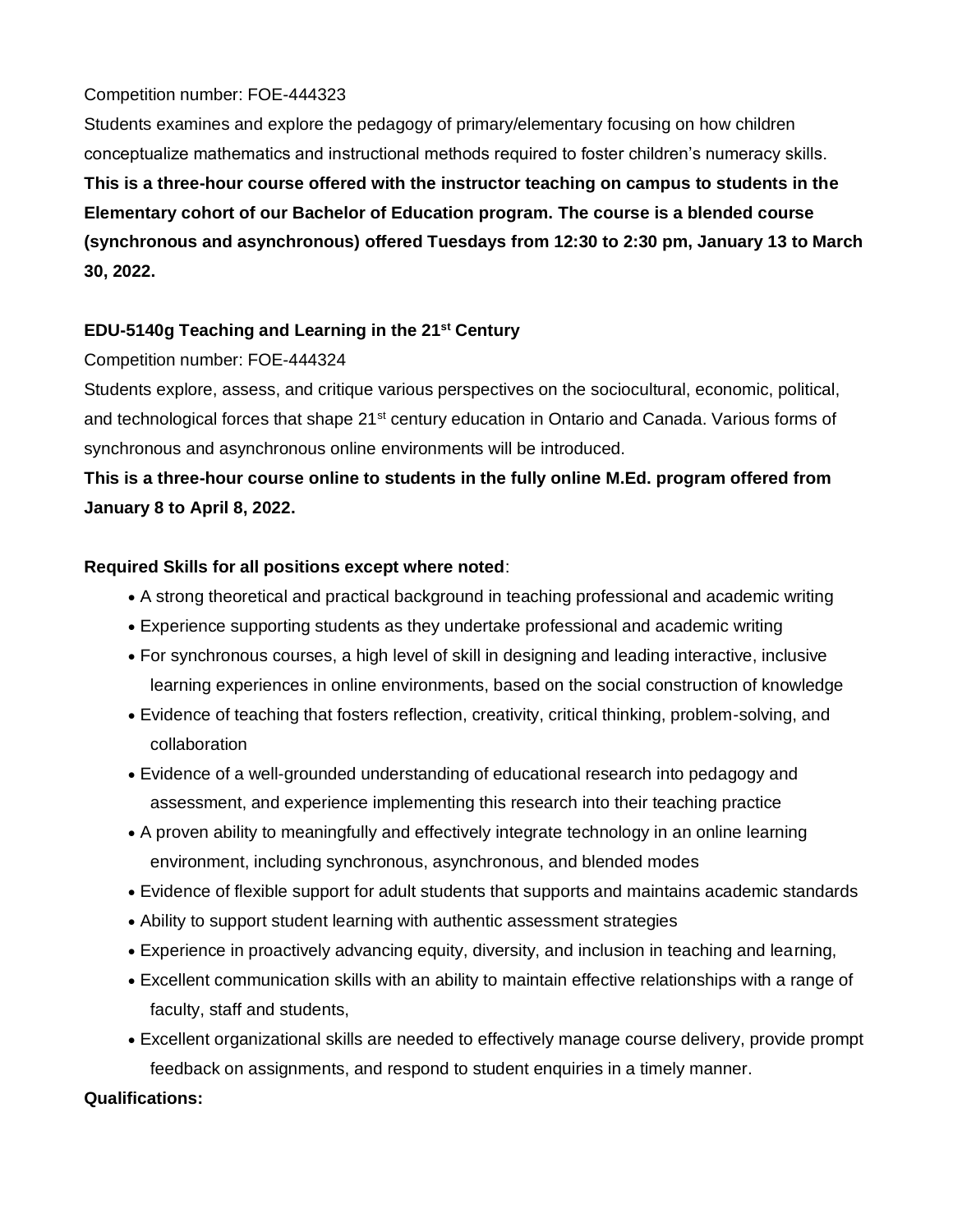### Competition number: FOE-444323

Students examines and explore the pedagogy of primary/elementary focusing on how children conceptualize mathematics and instructional methods required to foster children's numeracy skills.

**This is a three-hour course offered with the instructor teaching on campus to students in the Elementary cohort of our Bachelor of Education program. The course is a blended course (synchronous and asynchronous) offered Tuesdays from 12:30 to 2:30 pm, January 13 to March 30, 2022.**

### **EDU-5140g Teaching and Learning in the 21st Century**

### Competition number: FOE-444324

Students explore, assess, and critique various perspectives on the sociocultural, economic, political, and technological forces that shape 21<sup>st</sup> century education in Ontario and Canada. Various forms of synchronous and asynchronous online environments will be introduced.

# **This is a three-hour course online to students in the fully online M.Ed. program offered from January 8 to April 8, 2022.**

### **Required Skills for all positions except where noted**:

- A strong theoretical and practical background in teaching professional and academic writing
- Experience supporting students as they undertake professional and academic writing
- For synchronous courses, a high level of skill in designing and leading interactive, inclusive learning experiences in online environments, based on the social construction of knowledge
- Evidence of teaching that fosters reflection, creativity, critical thinking, problem-solving, and collaboration
- Evidence of a well-grounded understanding of educational research into pedagogy and assessment, and experience implementing this research into their teaching practice
- A proven ability to meaningfully and effectively integrate technology in an online learning environment, including synchronous, asynchronous, and blended modes
- Evidence of flexible support for adult students that supports and maintains academic standards
- Ability to support student learning with authentic assessment strategies
- Experience in proactively advancing equity, diversity, and inclusion in teaching and learning,
- Excellent communication skills with an ability to maintain effective relationships with a range of faculty, staff and students,
- Excellent organizational skills are needed to effectively manage course delivery, provide prompt feedback on assignments, and respond to student enquiries in a timely manner.

#### **Qualifications:**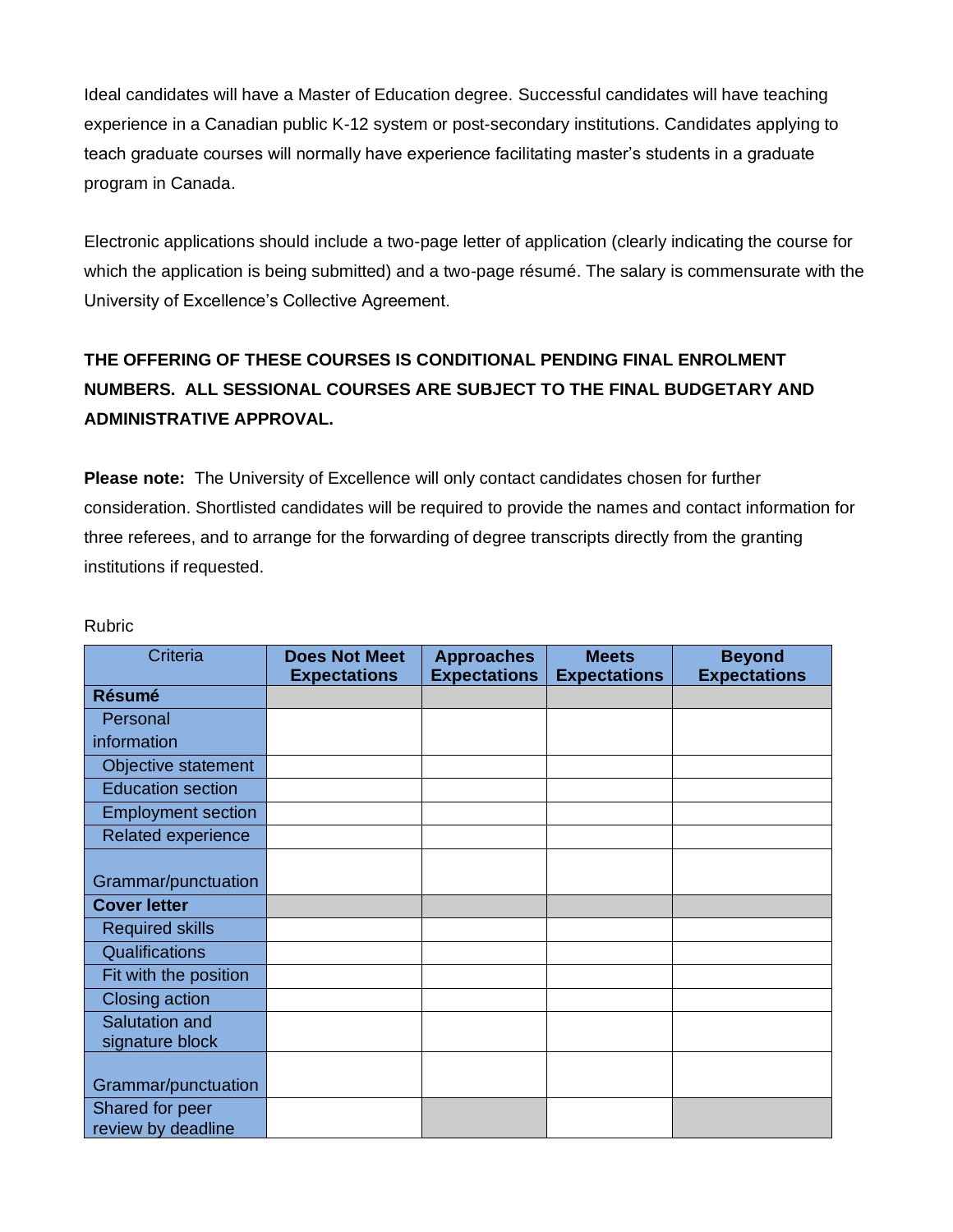Ideal candidates will have a Master of Education degree. Successful candidates will have teaching experience in a Canadian public K-12 system or post-secondary institutions. Candidates applying to teach graduate courses will normally have experience facilitating master's students in a graduate program in Canada.

Electronic applications should include a two-page letter of application (clearly indicating the course for which the application is being submitted) and a two-page résumé. The salary is commensurate with the University of Excellence's Collective Agreement.

# **THE OFFERING OF THESE COURSES IS CONDITIONAL PENDING FINAL ENROLMENT NUMBERS. ALL SESSIONAL COURSES ARE SUBJECT TO THE FINAL BUDGETARY AND ADMINISTRATIVE APPROVAL.**

**Please note:** The University of Excellence will only contact candidates chosen for further consideration. Shortlisted candidates will be required to provide the names and contact information for three referees, and to arrange for the forwarding of degree transcripts directly from the granting institutions if requested.

| Criteria                  | <b>Does Not Meet</b><br><b>Expectations</b> | <b>Approaches</b><br><b>Expectations</b> | <b>Meets</b><br><b>Expectations</b> | <b>Beyond</b><br><b>Expectations</b> |
|---------------------------|---------------------------------------------|------------------------------------------|-------------------------------------|--------------------------------------|
| <b>Résumé</b>             |                                             |                                          |                                     |                                      |
| Personal                  |                                             |                                          |                                     |                                      |
| information               |                                             |                                          |                                     |                                      |
| Objective statement       |                                             |                                          |                                     |                                      |
| <b>Education section</b>  |                                             |                                          |                                     |                                      |
| <b>Employment section</b> |                                             |                                          |                                     |                                      |
| Related experience        |                                             |                                          |                                     |                                      |
|                           |                                             |                                          |                                     |                                      |
| Grammar/punctuation       |                                             |                                          |                                     |                                      |
| <b>Cover letter</b>       |                                             |                                          |                                     |                                      |
| <b>Required skills</b>    |                                             |                                          |                                     |                                      |
| Qualifications            |                                             |                                          |                                     |                                      |
| Fit with the position     |                                             |                                          |                                     |                                      |
| Closing action            |                                             |                                          |                                     |                                      |
| Salutation and            |                                             |                                          |                                     |                                      |
| signature block           |                                             |                                          |                                     |                                      |
| Grammar/punctuation       |                                             |                                          |                                     |                                      |
| Shared for peer           |                                             |                                          |                                     |                                      |
| review by deadline        |                                             |                                          |                                     |                                      |

Rubric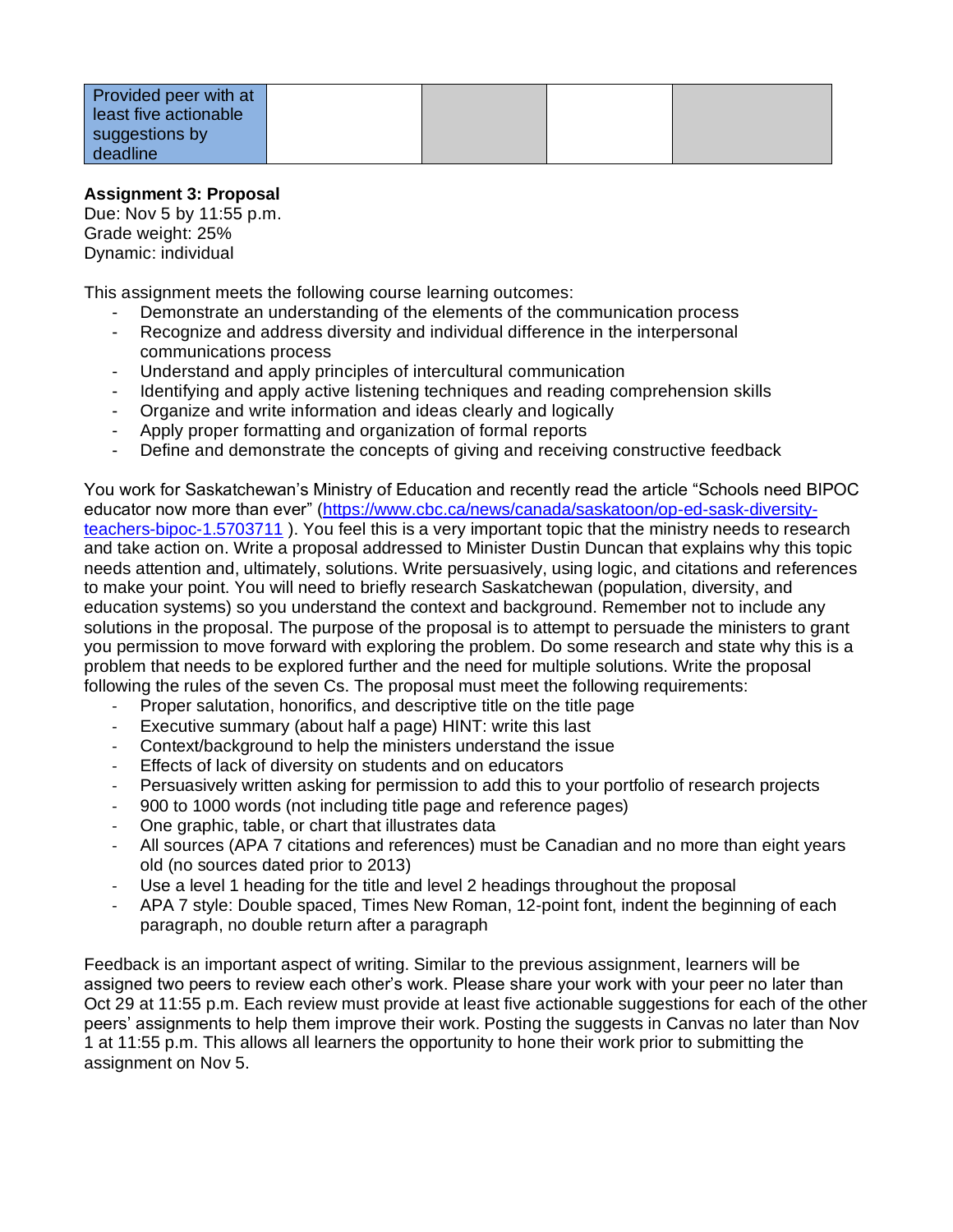| Provided peer with at |  |  |
|-----------------------|--|--|
| least five actionable |  |  |
| suggestions by        |  |  |
| deadline              |  |  |

### **Assignment 3: Proposal**

Due: Nov 5 by 11:55 p.m. Grade weight: 25% Dynamic: individual

This assignment meets the following course learning outcomes:

- Demonstrate an understanding of the elements of the communication process
- Recognize and address diversity and individual difference in the interpersonal communications process
- Understand and apply principles of intercultural communication
- Identifying and apply active listening techniques and reading comprehension skills
- Organize and write information and ideas clearly and logically
- Apply proper formatting and organization of formal reports
- Define and demonstrate the concepts of giving and receiving constructive feedback

You work for Saskatchewan's Ministry of Education and recently read the article "Schools need BIPOC educator now more than ever" [\(https://www.cbc.ca/news/canada/saskatoon/op-ed-sask-diversity](https://www.cbc.ca/news/canada/saskatoon/op-ed-sask-diversity-teachers-bipoc-1.5703711)[teachers-bipoc-1.5703711](https://www.cbc.ca/news/canada/saskatoon/op-ed-sask-diversity-teachers-bipoc-1.5703711) ). You feel this is a very important topic that the ministry needs to research and take action on. Write a proposal addressed to Minister Dustin Duncan that explains why this topic needs attention and, ultimately, solutions. Write persuasively, using logic, and citations and references to make your point. You will need to briefly research Saskatchewan (population, diversity, and education systems) so you understand the context and background. Remember not to include any solutions in the proposal. The purpose of the proposal is to attempt to persuade the ministers to grant you permission to move forward with exploring the problem. Do some research and state why this is a problem that needs to be explored further and the need for multiple solutions. Write the proposal following the rules of the seven Cs. The proposal must meet the following requirements:

- Proper salutation, honorifics, and descriptive title on the title page
- Executive summary (about half a page) HINT: write this last
- Context/background to help the ministers understand the issue
- Effects of lack of diversity on students and on educators
- Persuasively written asking for permission to add this to your portfolio of research projects
- 900 to 1000 words (not including title page and reference pages)
- One graphic, table, or chart that illustrates data
- All sources (APA 7 citations and references) must be Canadian and no more than eight years old (no sources dated prior to 2013)
- Use a level 1 heading for the title and level 2 headings throughout the proposal
- APA 7 style: Double spaced, Times New Roman, 12-point font, indent the beginning of each paragraph, no double return after a paragraph

Feedback is an important aspect of writing. Similar to the previous assignment, learners will be assigned two peers to review each other's work. Please share your work with your peer no later than Oct 29 at 11:55 p.m. Each review must provide at least five actionable suggestions for each of the other peers' assignments to help them improve their work. Posting the suggests in Canvas no later than Nov 1 at 11:55 p.m. This allows all learners the opportunity to hone their work prior to submitting the assignment on Nov 5.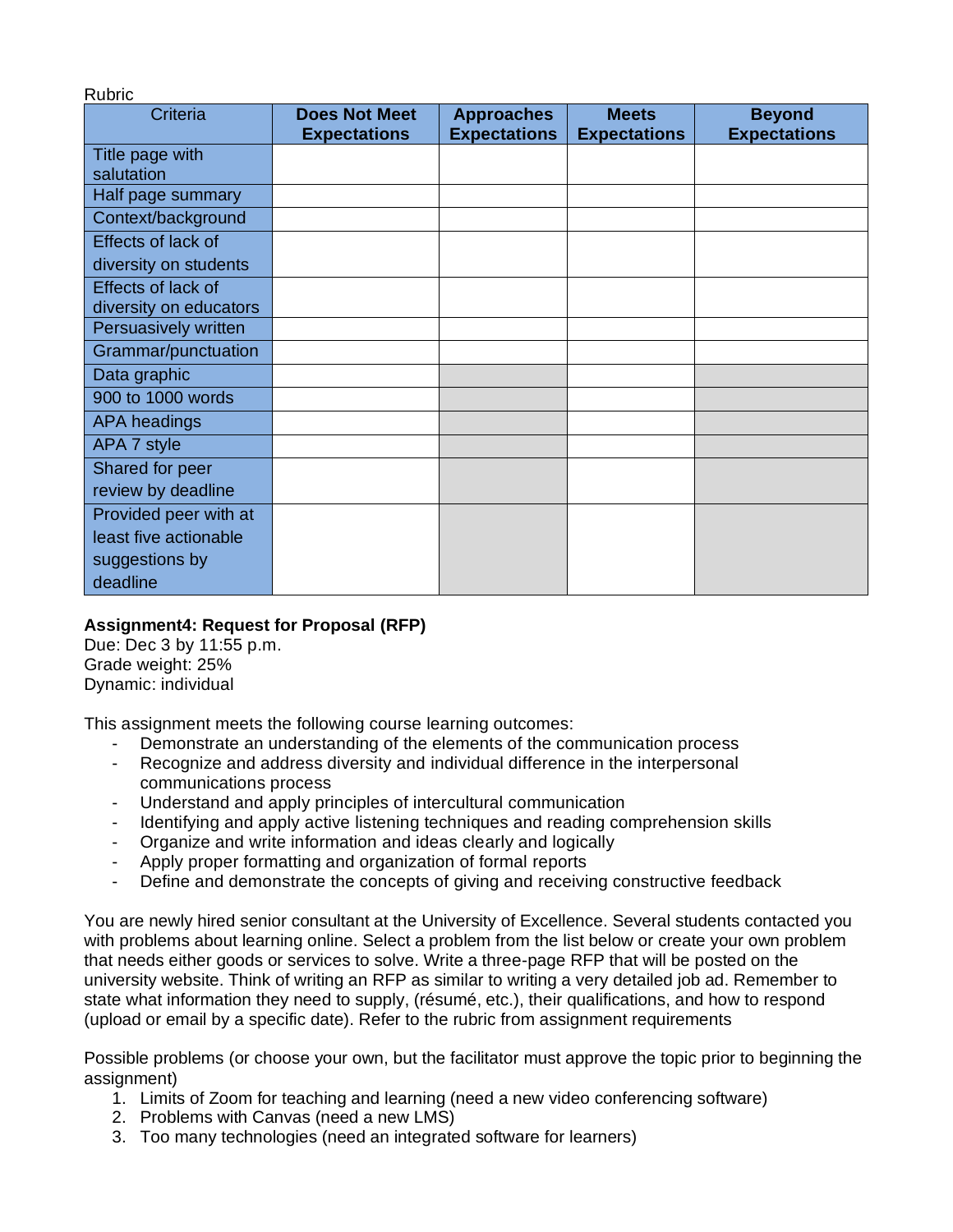| <b>vunio</b><br>Criteria | <b>Does Not Meet</b> | <b>Approaches</b>   | <b>Meets</b>        | <b>Beyond</b>       |
|--------------------------|----------------------|---------------------|---------------------|---------------------|
|                          | <b>Expectations</b>  | <b>Expectations</b> | <b>Expectations</b> | <b>Expectations</b> |
| Title page with          |                      |                     |                     |                     |
| salutation               |                      |                     |                     |                     |
| Half page summary        |                      |                     |                     |                     |
| Context/background       |                      |                     |                     |                     |
| Effects of lack of       |                      |                     |                     |                     |
| diversity on students    |                      |                     |                     |                     |
| Effects of lack of       |                      |                     |                     |                     |
| diversity on educators   |                      |                     |                     |                     |
| Persuasively written     |                      |                     |                     |                     |
| Grammar/punctuation      |                      |                     |                     |                     |
| Data graphic             |                      |                     |                     |                     |
| 900 to 1000 words        |                      |                     |                     |                     |
| <b>APA headings</b>      |                      |                     |                     |                     |
| APA 7 style              |                      |                     |                     |                     |
| Shared for peer          |                      |                     |                     |                     |
| review by deadline       |                      |                     |                     |                     |
| Provided peer with at    |                      |                     |                     |                     |
| least five actionable    |                      |                     |                     |                     |
| suggestions by           |                      |                     |                     |                     |
| deadline                 |                      |                     |                     |                     |

### **Assignment4: Request for Proposal (RFP)**

Due: Dec 3 by 11:55 p.m. Grade weight: 25% Dynamic: individual

Rubric

This assignment meets the following course learning outcomes:

- Demonstrate an understanding of the elements of the communication process
- Recognize and address diversity and individual difference in the interpersonal communications process
- Understand and apply principles of intercultural communication
- Identifying and apply active listening techniques and reading comprehension skills
- Organize and write information and ideas clearly and logically
- Apply proper formatting and organization of formal reports
- Define and demonstrate the concepts of giving and receiving constructive feedback

You are newly hired senior consultant at the University of Excellence. Several students contacted you with problems about learning online. Select a problem from the list below or create your own problem that needs either goods or services to solve. Write a three-page RFP that will be posted on the university website. Think of writing an RFP as similar to writing a very detailed job ad. Remember to state what information they need to supply, (résumé, etc.), their qualifications, and how to respond (upload or email by a specific date). Refer to the rubric from assignment requirements

Possible problems (or choose your own, but the facilitator must approve the topic prior to beginning the assignment)

- 1. Limits of Zoom for teaching and learning (need a new video conferencing software)
- 2. Problems with Canvas (need a new LMS)
- 3. Too many technologies (need an integrated software for learners)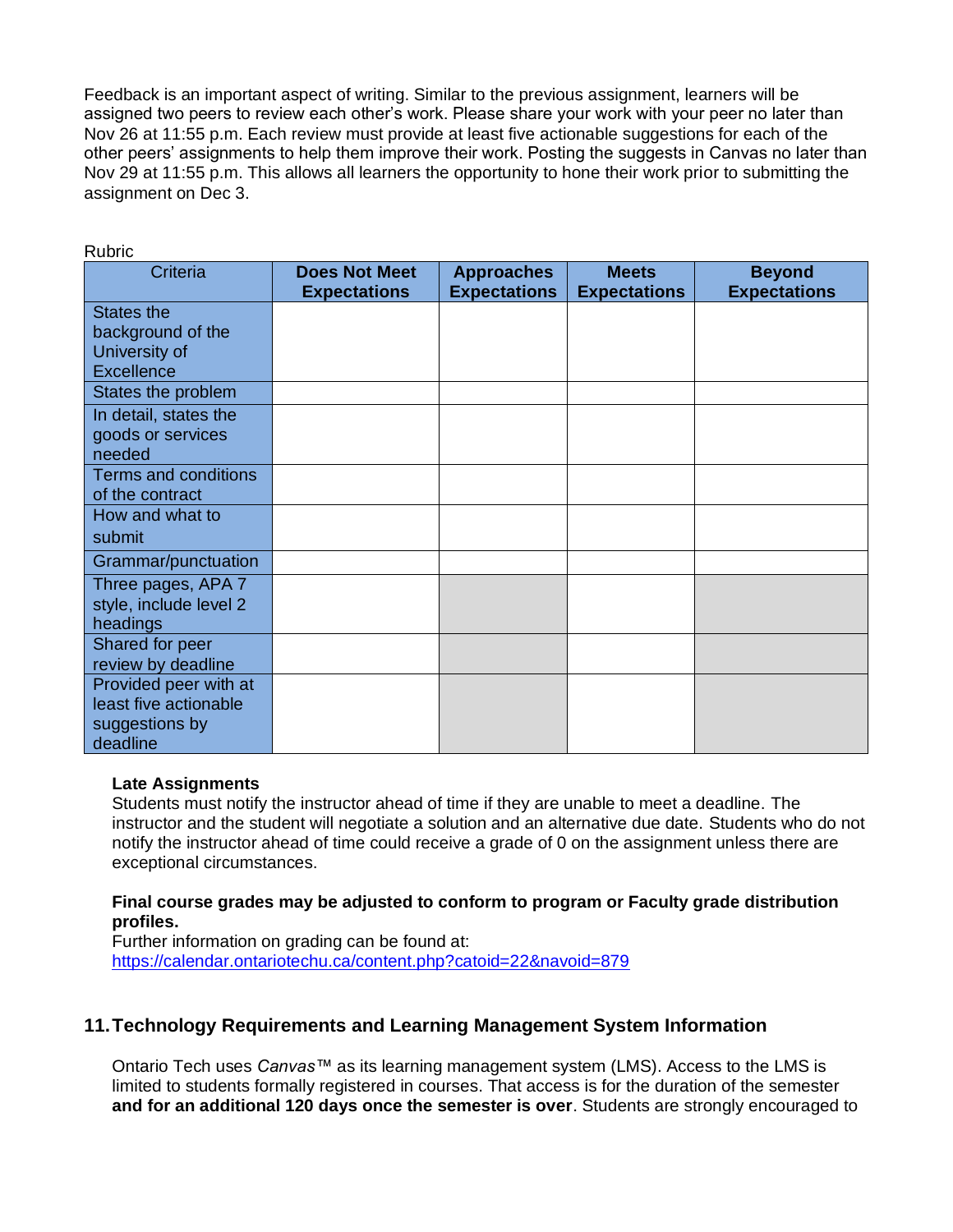Feedback is an important aspect of writing. Similar to the previous assignment, learners will be assigned two peers to review each other's work. Please share your work with your peer no later than Nov 26 at 11:55 p.m. Each review must provide at least five actionable suggestions for each of the other peers' assignments to help them improve their work. Posting the suggests in Canvas no later than Nov 29 at 11:55 p.m. This allows all learners the opportunity to hone their work prior to submitting the assignment on Dec 3.

| nuuriv                      |                      |                     |                     |                     |
|-----------------------------|----------------------|---------------------|---------------------|---------------------|
| Criteria                    | <b>Does Not Meet</b> | <b>Approaches</b>   | <b>Meets</b>        | <b>Beyond</b>       |
|                             | <b>Expectations</b>  | <b>Expectations</b> | <b>Expectations</b> | <b>Expectations</b> |
| States the                  |                      |                     |                     |                     |
| background of the           |                      |                     |                     |                     |
| University of               |                      |                     |                     |                     |
| <b>Excellence</b>           |                      |                     |                     |                     |
| States the problem          |                      |                     |                     |                     |
| In detail, states the       |                      |                     |                     |                     |
| goods or services           |                      |                     |                     |                     |
| needed                      |                      |                     |                     |                     |
| <b>Terms and conditions</b> |                      |                     |                     |                     |
| of the contract             |                      |                     |                     |                     |
| How and what to             |                      |                     |                     |                     |
| submit                      |                      |                     |                     |                     |
| Grammar/punctuation         |                      |                     |                     |                     |
| Three pages, APA 7          |                      |                     |                     |                     |
| style, include level 2      |                      |                     |                     |                     |
| headings                    |                      |                     |                     |                     |
| Shared for peer             |                      |                     |                     |                     |
| review by deadline          |                      |                     |                     |                     |
| Provided peer with at       |                      |                     |                     |                     |
| least five actionable       |                      |                     |                     |                     |
| suggestions by              |                      |                     |                     |                     |
| deadline                    |                      |                     |                     |                     |

Rubric

#### **Late Assignments**

Students must notify the instructor ahead of time if they are unable to meet a deadline. The instructor and the student will negotiate a solution and an alternative due date. Students who do not notify the instructor ahead of time could receive a grade of 0 on the assignment unless there are exceptional circumstances.

#### **Final course grades may be adjusted to conform to program or Faculty grade distribution profiles.**

Further information on grading can be found at: <https://calendar.ontariotechu.ca/content.php?catoid=22&navoid=879>

### **11.Technology Requirements and Learning Management System Information**

Ontario Tech uses *Canvas™* as its learning management system (LMS). Access to the LMS is limited to students formally registered in courses. That access is for the duration of the semester **and for an additional 120 days once the semester is over**. Students are strongly encouraged to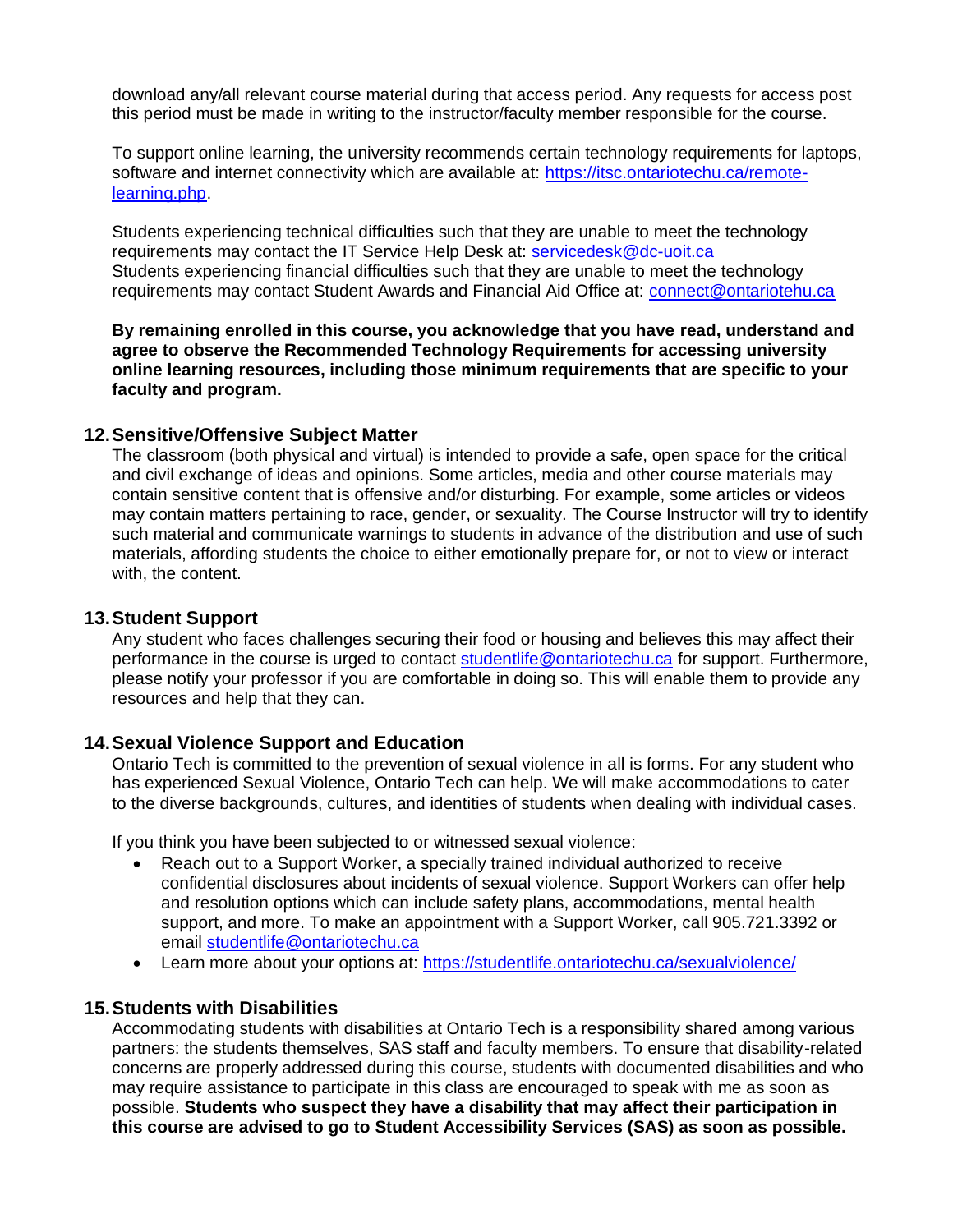download any/all relevant course material during that access period. Any requests for access post this period must be made in writing to the instructor/faculty member responsible for the course.

To support online learning, the university recommends certain technology requirements for laptops, software and internet connectivity which are available at: [https://itsc.ontariotechu.ca/remote](https://itsc.ontariotechu.ca/remote-learning.php)[learning.php.](https://itsc.ontariotechu.ca/remote-learning.php)

Students experiencing technical difficulties such that they are unable to meet the technology requirements may contact the IT Service Help Desk at: [servicedesk@dc-uoit.ca](mailto:servicedesk@dc-uoit.ca) Students experiencing financial difficulties such that they are unable to meet the technology requirements may contact Student Awards and Financial Aid Office at: [connect@ontariotehu.ca](mailto:connect@ontariotehu.ca) 

**By remaining enrolled in this course, you acknowledge that you have read, understand and agree to observe the Recommended Technology Requirements for accessing university online learning resources, including those minimum requirements that are specific to your faculty and program.**

#### **12.Sensitive/Offensive Subject Matter**

The classroom (both physical and virtual) is intended to provide a safe, open space for the critical and civil exchange of ideas and opinions. Some articles, media and other course materials may contain sensitive content that is offensive and/or disturbing. For example, some articles or videos may contain matters pertaining to race, gender, or sexuality. The Course Instructor will try to identify such material and communicate warnings to students in advance of the distribution and use of such materials, affording students the choice to either emotionally prepare for, or not to view or interact with, the content.

#### **13.Student Support**

Any student who faces challenges securing their food or housing and believes this may affect their performance in the course is urged to contact [studentlife@ontariotechu.ca](mailto:studentlife@ontariotechu.ca) for support. Furthermore, please notify your professor if you are comfortable in doing so. This will enable them to provide any resources and help that they can.

#### **14.Sexual Violence Support and Education**

Ontario Tech is committed to the prevention of sexual violence in all is forms. For any student who has experienced Sexual Violence, Ontario Tech can help. We will make accommodations to cater to the diverse backgrounds, cultures, and identities of students when dealing with individual cases.

If you think you have been subjected to or witnessed sexual violence:

- Reach out to a Support Worker, a specially trained individual authorized to receive confidential disclosures about incidents of sexual violence. Support Workers can offer help and resolution options which can include safety plans, accommodations, mental health support, and more. To make an appointment with a Support Worker, call 905.721.3392 or email [studentlife@ontariotechu.ca](mailto:studentlife@ontariotechu.ca)
- Learn more about your options at:<https://studentlife.ontariotechu.ca/sexualviolence/>

#### **15.Students with Disabilities**

Accommodating students with disabilities at Ontario Tech is a responsibility shared among various partners: the students themselves, SAS staff and faculty members. To ensure that disability-related concerns are properly addressed during this course, students with documented disabilities and who may require assistance to participate in this class are encouraged to speak with me as soon as possible. **Students who suspect they have a disability that may affect their participation in this course are advised to go to Student Accessibility Services (SAS) as soon as possible.**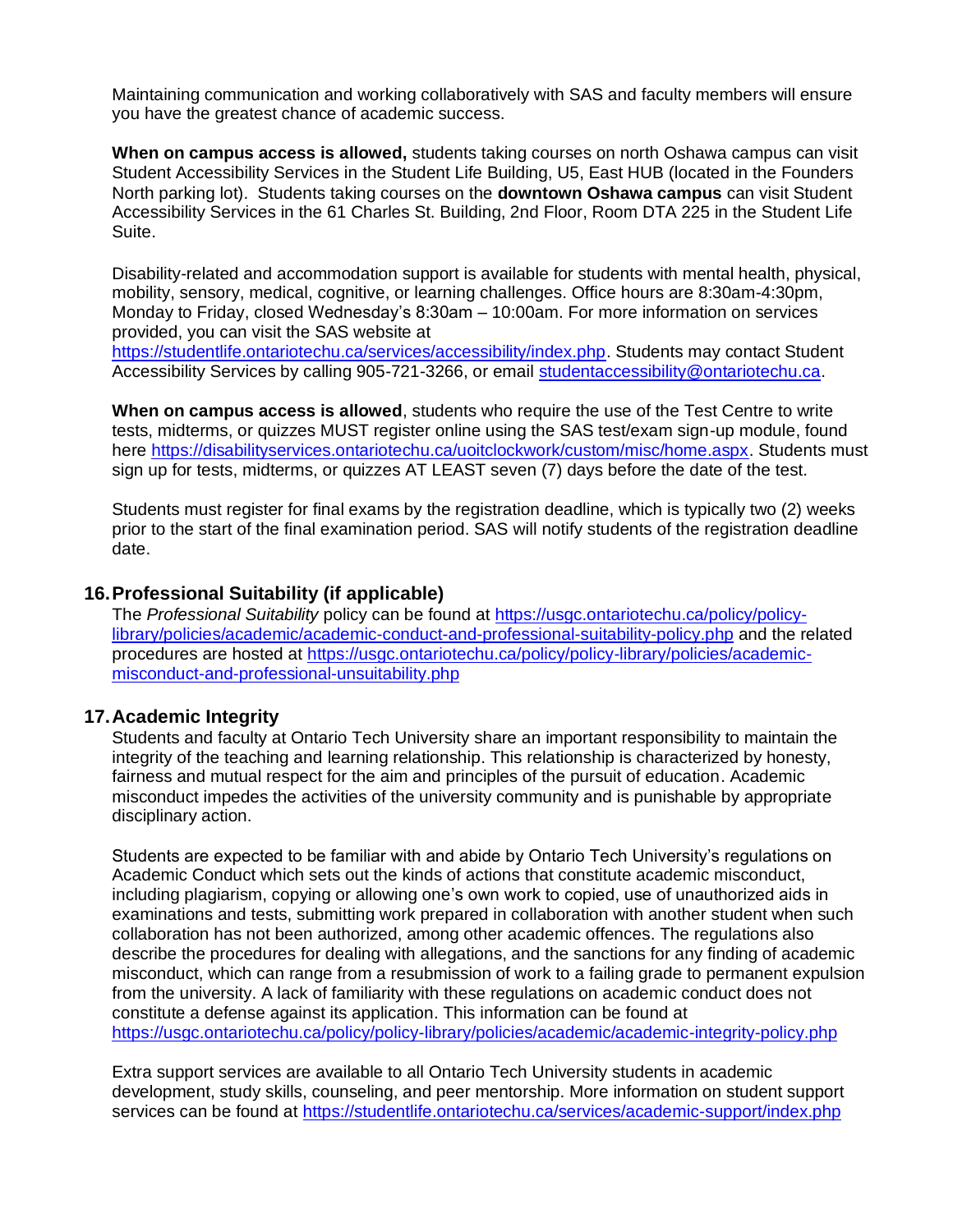Maintaining communication and working collaboratively with SAS and faculty members will ensure you have the greatest chance of academic success.

**When on campus access is allowed,** students taking courses on north Oshawa campus can visit Student Accessibility Services in the Student Life Building, U5, East HUB (located in the Founders North parking lot). Students taking courses on the **downtown Oshawa campus** can visit Student Accessibility Services in the 61 Charles St. Building, 2nd Floor, Room DTA 225 in the Student Life Suite.

Disability-related and accommodation support is available for students with mental health, physical, mobility, sensory, medical, cognitive, or learning challenges. Office hours are 8:30am-4:30pm, Monday to Friday, closed Wednesday's 8:30am – 10:00am. For more information on services provided, you can visit the SAS website at

[https://studentlife.ontariotechu.ca/services/accessibility/index.php.](https://studentlife.ontariotechu.ca/services/accessibility/index.php) Students may contact Student Accessibility Services by calling 905-721-3266, or email [studentaccessibility@ontariotechu.ca.](mailto:studentaccessibility@ontariotechu.ca)

**When on campus access is allowed**, students who require the use of the Test Centre to write tests, midterms, or quizzes MUST register online using the SAS test/exam sign-up module, found here [https://disabilityservices.ontariotechu.ca/uoitclockwork/custom/misc/home.aspx.](https://disabilityservices.ontariotechu.ca/uoitclockwork/custom/misc/home.aspx) Students must sign up for tests, midterms, or quizzes AT LEAST seven (7) days before the date of the test.

Students must register for final exams by the registration deadline, which is typically two (2) weeks prior to the start of the final examination period. SAS will notify students of the registration deadline date.

#### **16.Professional Suitability (if applicable)**

The *Professional Suitability* policy can be found at [https://usgc.ontariotechu.ca/policy/policy](https://usgc.ontariotechu.ca/policy/policy-library/policies/academic/academic-conduct-and-professional-suitability-policy.php)[library/policies/academic/academic-conduct-and-professional-suitability-policy.php](https://usgc.ontariotechu.ca/policy/policy-library/policies/academic/academic-conduct-and-professional-suitability-policy.php) and the related procedures are hosted at [https://usgc.ontariotechu.ca/policy/policy-library/policies/academic](https://usgc.ontariotechu.ca/policy/policy-library/policies/academic-misconduct-and-professional-unsuitability.php)[misconduct-and-professional-unsuitability.php](https://usgc.ontariotechu.ca/policy/policy-library/policies/academic-misconduct-and-professional-unsuitability.php)

#### **17.Academic Integrity**

Students and faculty at Ontario Tech University share an important responsibility to maintain the integrity of the teaching and learning relationship. This relationship is characterized by honesty, fairness and mutual respect for the aim and principles of the pursuit of education. Academic misconduct impedes the activities of the university community and is punishable by appropriate disciplinary action.

Students are expected to be familiar with and abide by Ontario Tech University's regulations on Academic Conduct which sets out the kinds of actions that constitute academic misconduct, including plagiarism, copying or allowing one's own work to copied, use of unauthorized aids in examinations and tests, submitting work prepared in collaboration with another student when such collaboration has not been authorized, among other academic offences. The regulations also describe the procedures for dealing with allegations, and the sanctions for any finding of academic misconduct, which can range from a resubmission of work to a failing grade to permanent expulsion from the university. A lack of familiarity with these regulations on academic conduct does not constitute a defense against its application. This information can be found at <https://usgc.ontariotechu.ca/policy/policy-library/policies/academic/academic-integrity-policy.php>

Extra support services are available to all Ontario Tech University students in academic development, study skills, counseling, and peer mentorship. More information on student support services can be found at<https://studentlife.ontariotechu.ca/services/academic-support/index.php>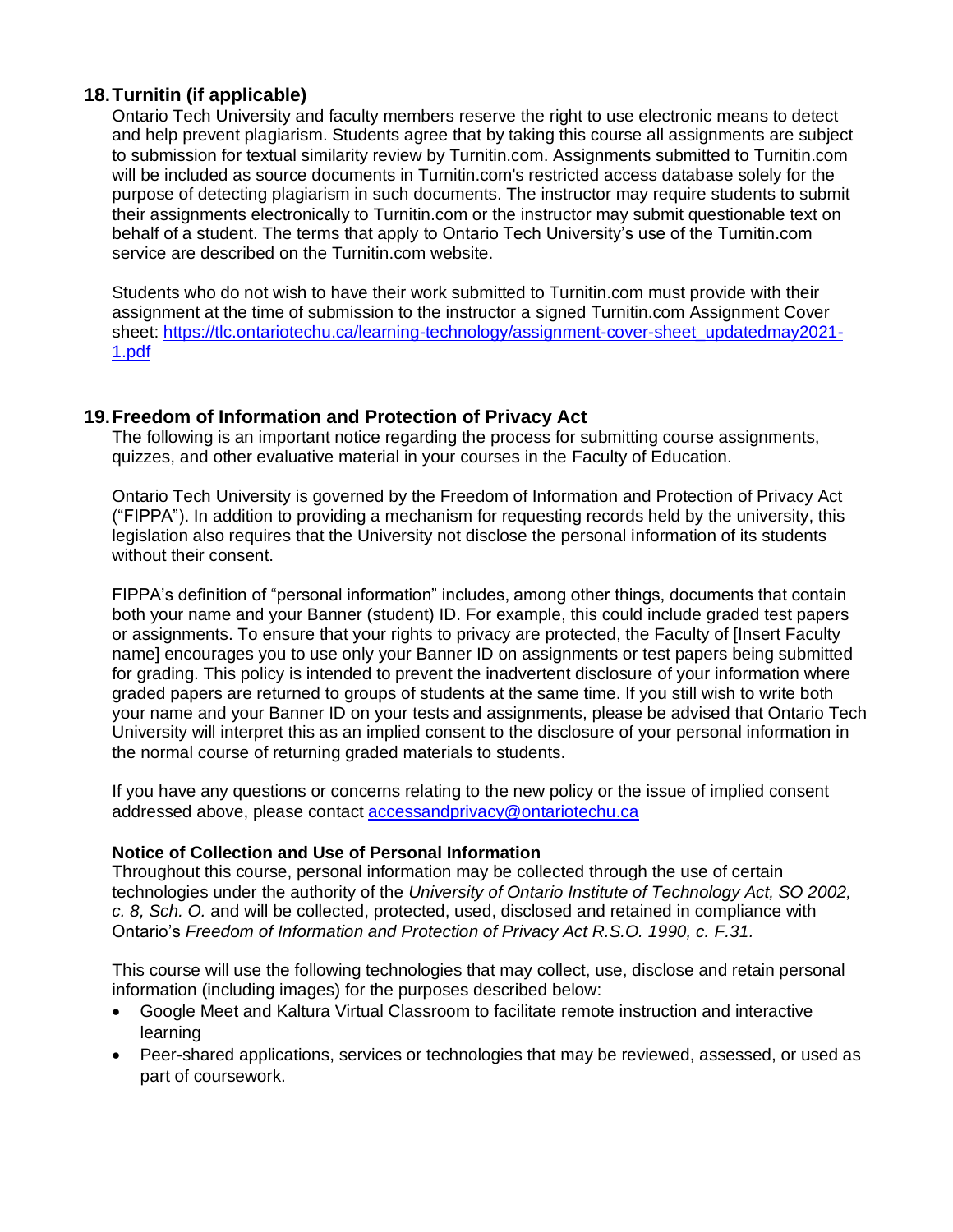### **18.Turnitin (if applicable)**

Ontario Tech University and faculty members reserve the right to use electronic means to detect and help prevent plagiarism. Students agree that by taking this course all assignments are subject to submission for textual similarity review by Turnitin.com. Assignments submitted to Turnitin.com will be included as source documents in Turnitin.com's restricted access database solely for the purpose of detecting plagiarism in such documents. The instructor may require students to submit their assignments electronically to Turnitin.com or the instructor may submit questionable text on behalf of a student. The terms that apply to Ontario Tech University's use of the Turnitin.com service are described on the Turnitin.com website.

Students who do not wish to have their work submitted to Turnitin.com must provide with their assignment at the time of submission to the instructor a signed Turnitin.com Assignment Cover sheet: [https://tlc.ontariotechu.ca/learning-technology/assignment-cover-sheet\\_updatedmay2021-](https://tlc.ontariotechu.ca/learning-technology/assignment-cover-sheet_updatedmay2021-1.pdf) [1.pdf](https://tlc.ontariotechu.ca/learning-technology/assignment-cover-sheet_updatedmay2021-1.pdf)

### **19.Freedom of Information and Protection of Privacy Act**

The following is an important notice regarding the process for submitting course assignments, quizzes, and other evaluative material in your courses in the Faculty of Education.

Ontario Tech University is governed by the Freedom of Information and Protection of Privacy Act ("FIPPA"). In addition to providing a mechanism for requesting records held by the university, this legislation also requires that the University not disclose the personal information of its students without their consent.

FIPPA's definition of "personal information" includes, among other things, documents that contain both your name and your Banner (student) ID. For example, this could include graded test papers or assignments. To ensure that your rights to privacy are protected, the Faculty of [Insert Faculty name] encourages you to use only your Banner ID on assignments or test papers being submitted for grading. This policy is intended to prevent the inadvertent disclosure of your information where graded papers are returned to groups of students at the same time. If you still wish to write both your name and your Banner ID on your tests and assignments, please be advised that Ontario Tech University will interpret this as an implied consent to the disclosure of your personal information in the normal course of returning graded materials to students.

If you have any questions or concerns relating to the new policy or the issue of implied consent addressed above, please contact [accessandprivacy@ontariotechu.ca](mailto:accessandprivacy@ontariotechu.ca)

#### **Notice of Collection and Use of Personal Information**

Throughout this course, personal information may be collected through the use of certain technologies under the authority of the *University of Ontario Institute of Technology Act, SO 2002, c. 8, Sch. O.* and will be collected, protected, used, disclosed and retained in compliance with Ontario's *Freedom of Information and Protection of Privacy Act R.S.O. 1990, c. F.31.* 

This course will use the following technologies that may collect, use, disclose and retain personal information (including images) for the purposes described below:

- Google Meet and Kaltura Virtual Classroom to facilitate remote instruction and interactive learning
- Peer-shared applications, services or technologies that may be reviewed, assessed, or used as part of coursework.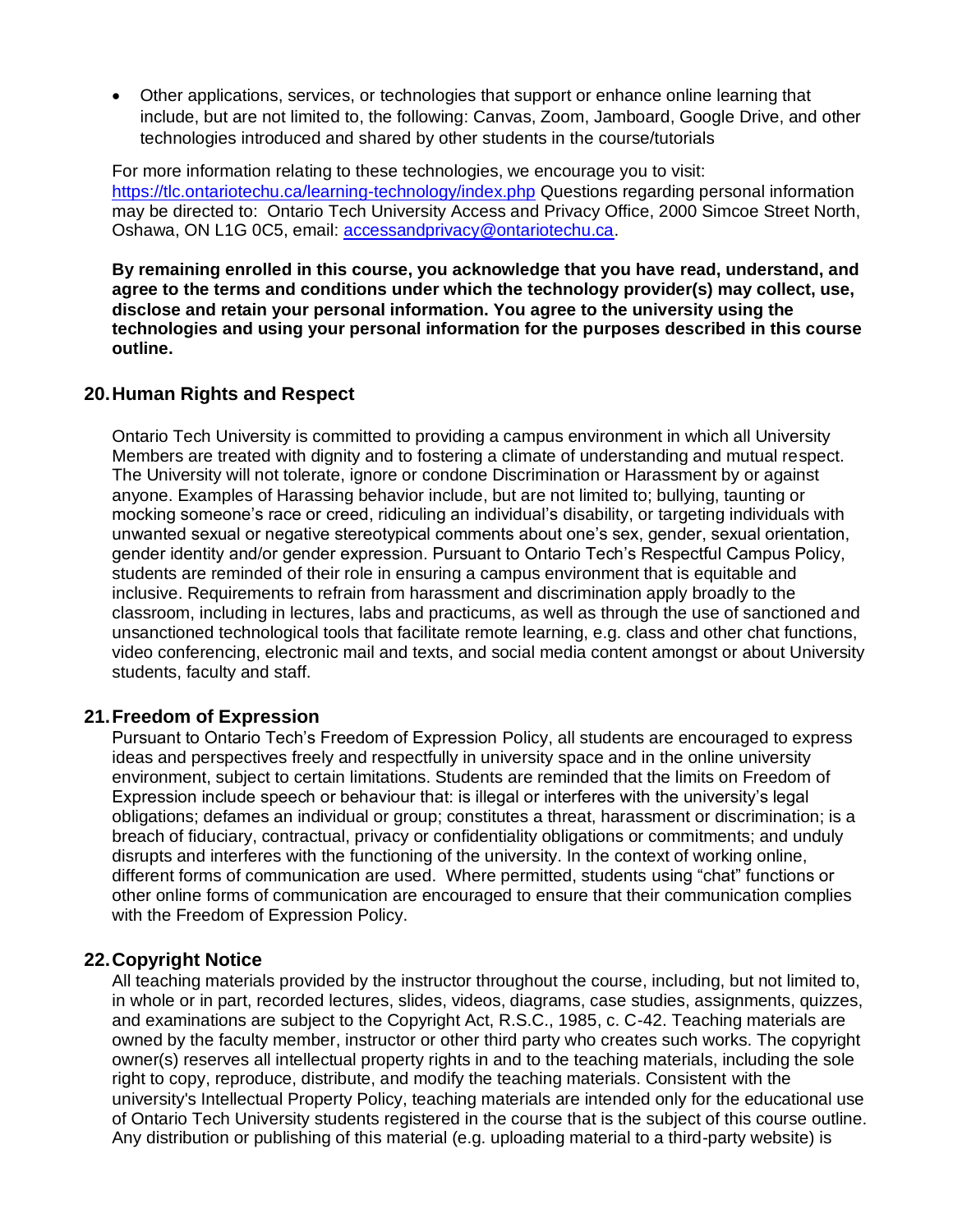• Other applications, services, or technologies that support or enhance online learning that include, but are not limited to, the following: Canvas, Zoom, Jamboard, Google Drive, and other technologies introduced and shared by other students in the course/tutorials

For more information relating to these technologies, we encourage you to visit: <https://tlc.ontariotechu.ca/learning-technology/index.php> Questions regarding personal information may be directed to: Ontario Tech University Access and Privacy Office, 2000 Simcoe Street North, Oshawa, ON L1G 0C5, email: [accessandprivacy@ontariotechu.ca.](mailto:accessandprivacy@ontariotechu.ca)

**By remaining enrolled in this course, you acknowledge that you have read, understand, and agree to the terms and conditions under which the technology provider(s) may collect, use, disclose and retain your personal information. You agree to the university using the technologies and using your personal information for the purposes described in this course outline.** 

#### **20.Human Rights and Respect**

Ontario Tech University is committed to providing a campus environment in which all University Members are treated with dignity and to fostering a climate of understanding and mutual respect. The University will not tolerate, ignore or condone Discrimination or Harassment by or against anyone. Examples of Harassing behavior include, but are not limited to; bullying, taunting or mocking someone's race or creed, ridiculing an individual's disability, or targeting individuals with unwanted sexual or negative stereotypical comments about one's sex, gender, sexual orientation, gender identity and/or gender expression. Pursuant to Ontario Tech's Respectful Campus Policy, students are reminded of their role in ensuring a campus environment that is equitable and inclusive. Requirements to refrain from harassment and discrimination apply broadly to the classroom, including in lectures, labs and practicums, as well as through the use of sanctioned and unsanctioned technological tools that facilitate remote learning, e.g. class and other chat functions, video conferencing, electronic mail and texts, and social media content amongst or about University students, faculty and staff.

#### **21.Freedom of Expression**

Pursuant to Ontario Tech's Freedom of Expression Policy, all students are encouraged to express ideas and perspectives freely and respectfully in university space and in the online university environment, subject to certain limitations. Students are reminded that the limits on Freedom of Expression include speech or behaviour that: is illegal or interferes with the university's legal obligations; defames an individual or group; constitutes a threat, harassment or discrimination; is a breach of fiduciary, contractual, privacy or confidentiality obligations or commitments; and unduly disrupts and interferes with the functioning of the university. In the context of working online, different forms of communication are used. Where permitted, students using "chat" functions or other online forms of communication are encouraged to ensure that their communication complies with the Freedom of Expression Policy.

#### **22.Copyright Notice**

All teaching materials provided by the instructor throughout the course, including, but not limited to, in whole or in part, recorded lectures, slides, videos, diagrams, case studies, assignments, quizzes, and examinations are subject to the Copyright Act, R.S.C., 1985, c. C-42. Teaching materials are owned by the faculty member, instructor or other third party who creates such works. The copyright owner(s) reserves all intellectual property rights in and to the teaching materials, including the sole right to copy, reproduce, distribute, and modify the teaching materials. Consistent with the university's Intellectual Property Policy, teaching materials are intended only for the educational use of Ontario Tech University students registered in the course that is the subject of this course outline. Any distribution or publishing of this material (e.g. uploading material to a third-party website) is